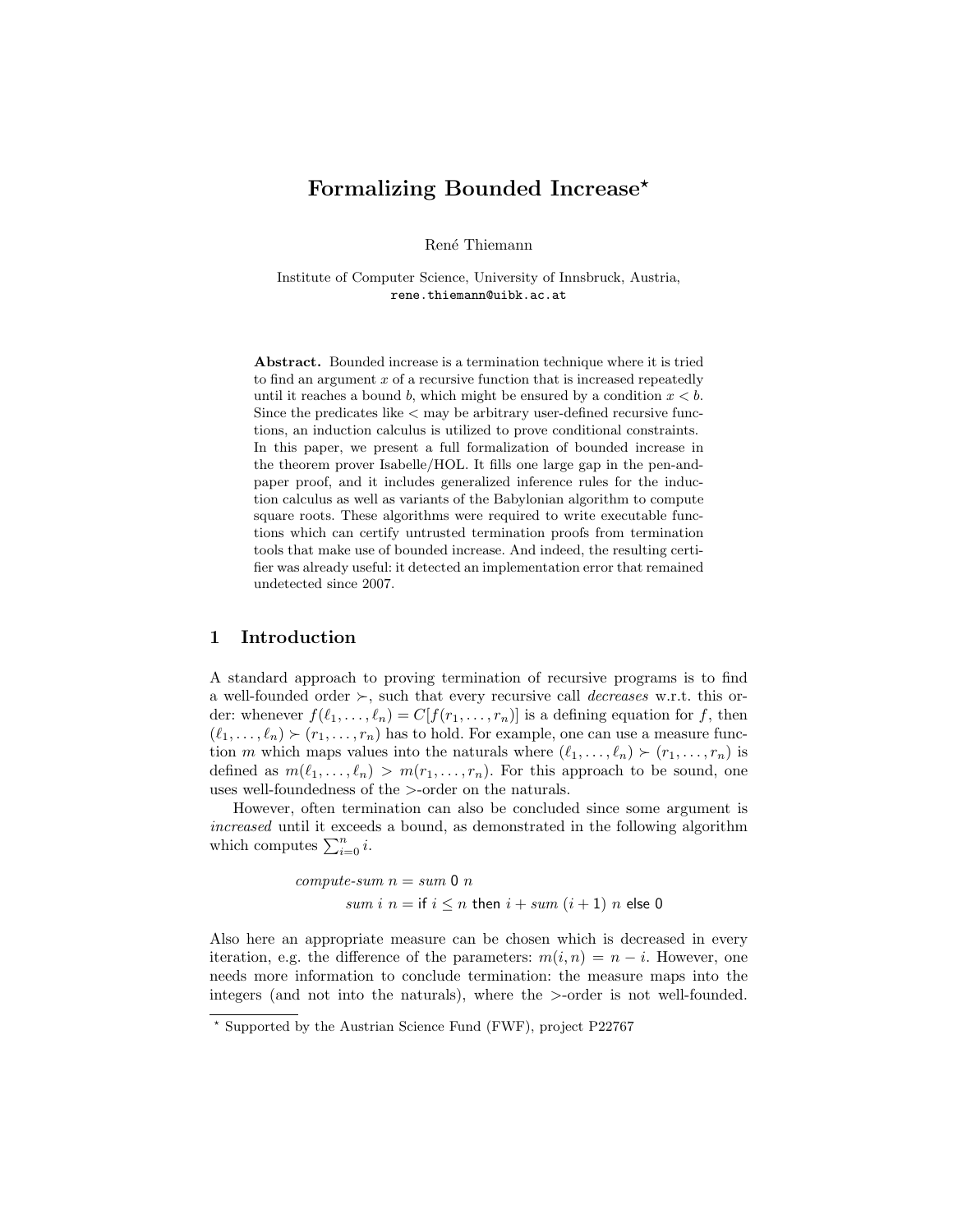# Formalizing Bounded Increase<sup>\*</sup>

René Thiemann

Institute of Computer Science, University of Innsbruck, Austria, rene.thiemann@uibk.ac.at

Abstract. Bounded increase is a termination technique where it is tried to find an argument  $x$  of a recursive function that is increased repeatedly until it reaches a bound b, which might be ensured by a condition  $x < b$ . Since the predicates like < may be arbitrary user-defined recursive functions, an induction calculus is utilized to prove conditional constraints. In this paper, we present a full formalization of bounded increase in the theorem prover Isabelle/HOL. It fills one large gap in the pen-andpaper proof, and it includes generalized inference rules for the induction calculus as well as variants of the Babylonian algorithm to compute square roots. These algorithms were required to write executable functions which can certify untrusted termination proofs from termination tools that make use of bounded increase. And indeed, the resulting certifier was already useful: it detected an implementation error that remained undetected since 2007.

# 1 Introduction

A standard approach to proving termination of recursive programs is to find a well-founded order  $\succ$ , such that every recursive call *decreases* w.r.t. this order: whenever  $f(\ell_1, \ldots, \ell_n) = C[f(r_1, \ldots, r_n)]$  is a defining equation for f, then  $(\ell_1, \ldots, \ell_n) \succ (r_1, \ldots, r_n)$  has to hold. For example, one can use a measure function m which maps values into the naturals where  $(\ell_1, \ldots, \ell_n) \succ (r_1, \ldots, r_n)$  is defined as  $m(\ell_1, \ldots, \ell_n) > m(r_1, \ldots, r_n)$ . For this approach to be sound, one uses well-foundedness of the >-order on the naturals.

However, often termination can also be concluded since some argument is increased until it exceeds a bound, as demonstrated in the following algorithm which computes  $\sum_{i=0}^{n} i$ .

> compute-sum  $n = sum 0 n$ sum i  $n =$  if  $i \leq n$  then  $i + sum (i + 1)$  n else 0

Also here an appropriate measure can be chosen which is decreased in every iteration, e.g. the difference of the parameters:  $m(i, n) = n - i$ . However, one needs more information to conclude termination: the measure maps into the integers (and not into the naturals), where the >-order is not well-founded.

 $\star$  Supported by the Austrian Science Fund (FWF), project P22767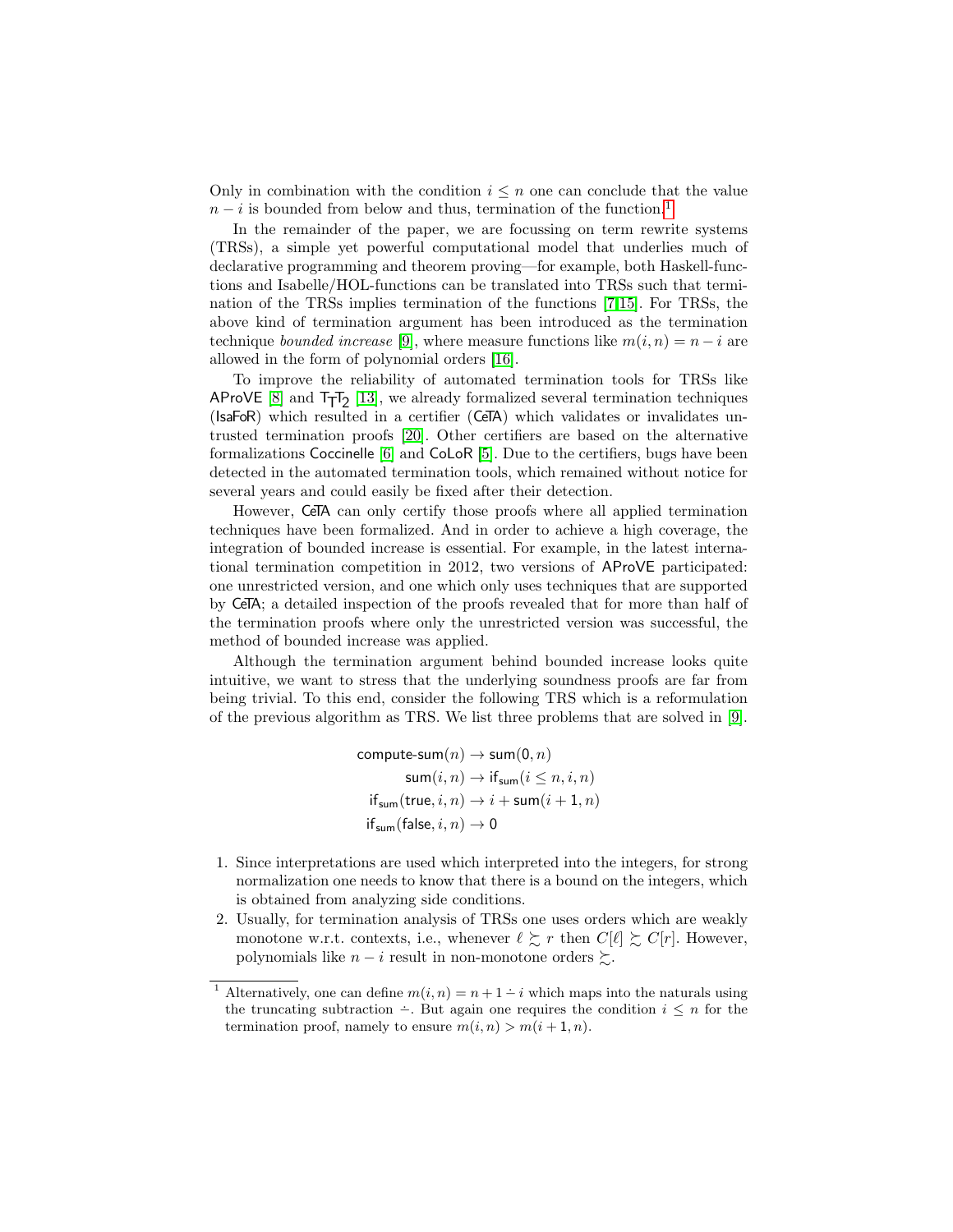Only in combination with the condition  $i \leq n$  one can conclude that the value  $n-i$  is bounded from below and thus, termination of the function.<sup>[1](#page-1-0)</sup>

In the remainder of the paper, we are focussing on term rewrite systems (TRSs), a simple yet powerful computational model that underlies much of declarative programming and theorem proving—for example, both Haskell-functions and Isabelle/HOL-functions can be translated into TRSs such that termination of the TRSs implies termination of the functions [\[7,](#page-15-0)[15\]](#page-15-1). For TRSs, the above kind of termination argument has been introduced as the termination technique *bounded increase* [\[9\]](#page-15-2), where measure functions like  $m(i, n) = n - i$  are allowed in the form of polynomial orders [\[16\]](#page-15-3).

To improve the reliability of automated termination tools for TRSs like AProVE  $[8]$  and  $T_TT_2$  [\[13\]](#page-15-5), we already formalized several termination techniques (IsaFoR) which resulted in a certifier (CeTA) which validates or invalidates untrusted termination proofs [\[20\]](#page-15-6). Other certifiers are based on the alternative formalizations Coccinelle [\[6\]](#page-15-7) and CoLoR [\[5\]](#page-15-8). Due to the certifiers, bugs have been detected in the automated termination tools, which remained without notice for several years and could easily be fixed after their detection.

However, CeTA can only certify those proofs where all applied termination techniques have been formalized. And in order to achieve a high coverage, the integration of bounded increase is essential. For example, in the latest international termination competition in 2012, two versions of AProVE participated: one unrestricted version, and one which only uses techniques that are supported by CeTA; a detailed inspection of the proofs revealed that for more than half of the termination proofs where only the unrestricted version was successful, the method of bounded increase was applied.

Although the termination argument behind bounded increase looks quite intuitive, we want to stress that the underlying soundness proofs are far from being trivial. To this end, consider the following TRS which is a reformulation of the previous algorithm as TRS. We list three problems that are solved in [\[9\]](#page-15-2).

$$
\begin{aligned} \text{compute-sum}(n) &\rightarrow \text{sum}(0,n) \\ \text{sum}(i,n) &\rightarrow \text{if}_{\text{sum}}(i \leq n, i, n) \\ \text{if}_{\text{sum}}(\text{true}, i, n) &\rightarrow i + \text{sum}(i+1, n) \\ \text{if}_{\text{sum}}(\text{false}, i, n) &\rightarrow 0 \end{aligned}
$$

- 1. Since interpretations are used which interpreted into the integers, for strong normalization one needs to know that there is a bound on the integers, which is obtained from analyzing side conditions.
- 2. Usually, for termination analysis of TRSs one uses orders which are weakly monotone w.r.t. contexts, i.e., whenever  $\ell \gtrsim r$  then  $C[\ell] \gtrsim C[r]$ . However, polynomials like  $n - i$  result in non-monotone orders  $\succeq$ .

<span id="page-1-0"></span><sup>&</sup>lt;sup>1</sup> Alternatively, one can define  $m(i, n) = n + 1 - i$  which maps into the naturals using the truncating subtraction  $\div$ . But again one requires the condition  $i \leq n$  for the termination proof, namely to ensure  $m(i, n) > m(i + 1, n)$ .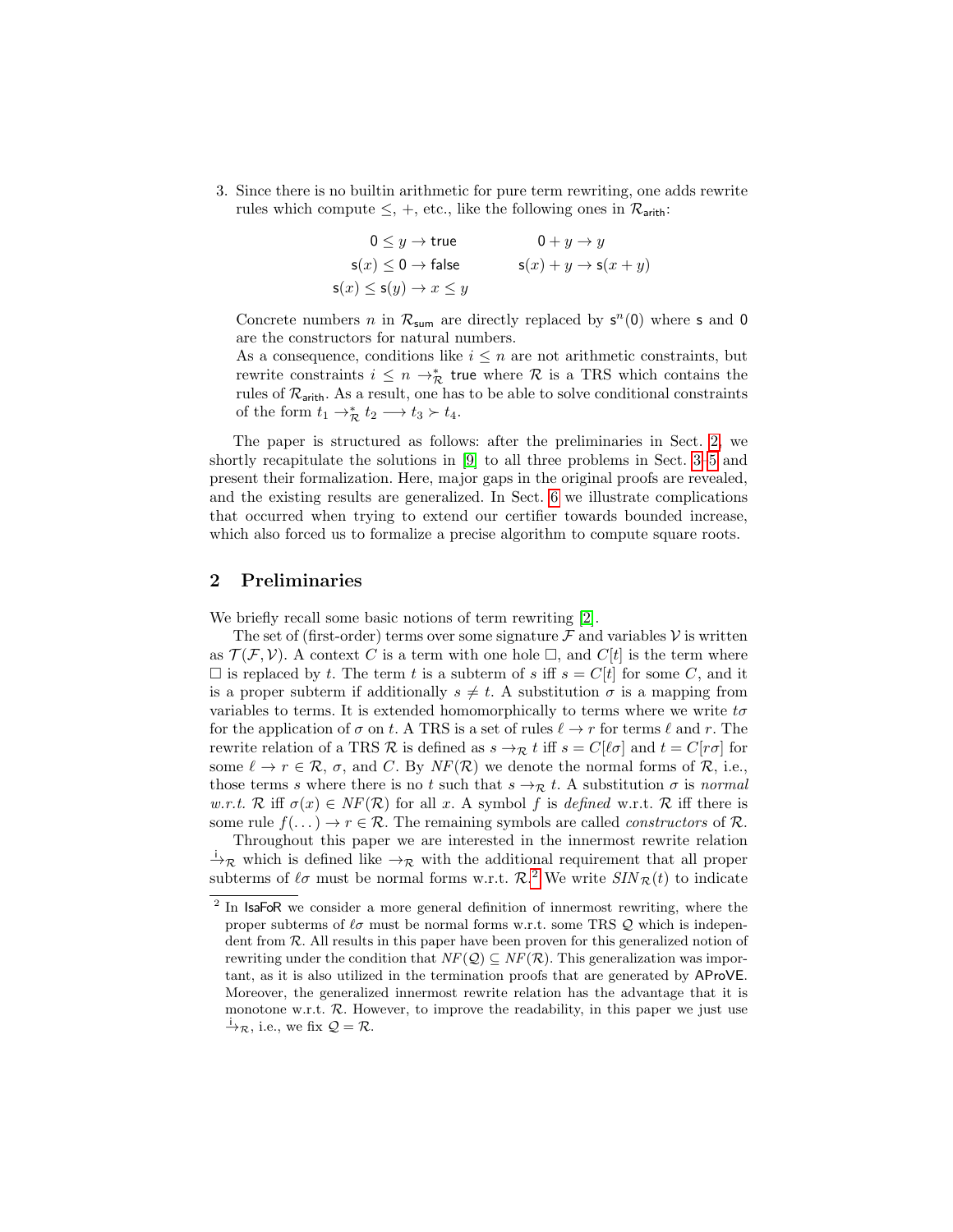3. Since there is no builtin arithmetic for pure term rewriting, one adds rewrite rules which compute  $\leq$ ,  $+$ , etc., like the following ones in  $\mathcal{R}_{\text{arith}}$ :

$$
0 \le y \to \text{true} \qquad 0 + y \to y
$$
  
s(x) \le 0 \to \text{false} \qquad s(x) + y \to s(x + y)  
s(x) \le s(y) \to x \le y

Concrete numbers n in  $\mathcal{R}_{\text{sum}}$  are directly replaced by  $s^n(0)$  where s and 0 are the constructors for natural numbers.

As a consequence, conditions like  $i \leq n$  are not arithmetic constraints, but rewrite constraints  $i \leq n \rightarrow_{\mathcal{R}}^*$  true where  $\mathcal R$  is a TRS which contains the rules of  $\mathcal{R}_{\text{arith}}$ . As a result, one has to be able to solve conditional constraints of the form  $t_1 \rightarrow_{\mathcal{R}}^* t_2 \longrightarrow t_3 \succ t_4$ .

The paper is structured as follows: after the preliminaries in Sect. [2,](#page-2-0) we shortly recapitulate the solutions in [\[9\]](#page-15-2) to all three problems in Sect. [3–](#page-4-0)[5](#page-8-0) and present their formalization. Here, major gaps in the original proofs are revealed, and the existing results are generalized. In Sect. [6](#page-12-0) we illustrate complications that occurred when trying to extend our certifier towards bounded increase, which also forced us to formalize a precise algorithm to compute square roots.

# <span id="page-2-0"></span>2 Preliminaries

We briefly recall some basic notions of term rewriting [\[2\]](#page-15-9).

The set of (first-order) terms over some signature  $\mathcal F$  and variables  $\mathcal V$  is written as  $\mathcal{T}(\mathcal{F}, \mathcal{V})$ . A context C is a term with one hole  $\Box$ , and  $C[t]$  is the term where  $\Box$  is replaced by t. The term t is a subterm of s iff  $s = C[t]$  for some C, and it is a proper subterm if additionally  $s \neq t$ . A substitution  $\sigma$  is a mapping from variables to terms. It is extended homomorphically to terms where we write  $t\sigma$ for the application of  $\sigma$  on t. A TRS is a set of rules  $\ell \to r$  for terms  $\ell$  and r. The rewrite relation of a TRS R is defined as  $s \to_R t$  iff  $s = C[\ell \sigma]$  and  $t = C[r\sigma]$  for some  $\ell \to r \in \mathcal{R}$ ,  $\sigma$ , and C. By  $NF(\mathcal{R})$  we denote the normal forms of  $\mathcal{R}$ , i.e., those terms s where there is no t such that  $s \rightarrow \mathcal{R}$  t. A substitution  $\sigma$  is normal w.r.t. R iff  $\sigma(x) \in NF(\mathcal{R})$  for all x. A symbol f is defined w.r.t. R iff there is some rule  $f(\ldots) \to r \in \mathcal{R}$ . The remaining symbols are called *constructors* of  $\mathcal{R}$ .

Throughout this paper we are interested in the innermost rewrite relation  $\overrightarrow{A}_{\mathcal{R}}$  which is defined like  $\rightarrow_{\mathcal{R}}$  with the additional requirement that all proper subterms of  $\ell \sigma$  must be normal forms w.r.t.  $\mathcal{R}^2$  $\mathcal{R}^2$ . We write  $SIN_{\mathcal{R}}(t)$  to indicate

<span id="page-2-1"></span><sup>&</sup>lt;sup>2</sup> In IsaFoR we consider a more general definition of innermost rewriting, where the proper subterms of  $\ell \sigma$  must be normal forms w.r.t. some TRS Q which is independent from  $R$ . All results in this paper have been proven for this generalized notion of rewriting under the condition that  $NF(Q) \subseteq NF(R)$ . This generalization was important, as it is also utilized in the termination proofs that are generated by AProVE. Moreover, the generalized innermost rewrite relation has the advantage that it is monotone w.r.t.  $\mathcal{R}$ . However, to improve the readability, in this paper we just use  $\dot{\rightarrow}_{\mathcal{R}}$ , i.e., we fix  $\mathcal{Q} = \mathcal{R}$ .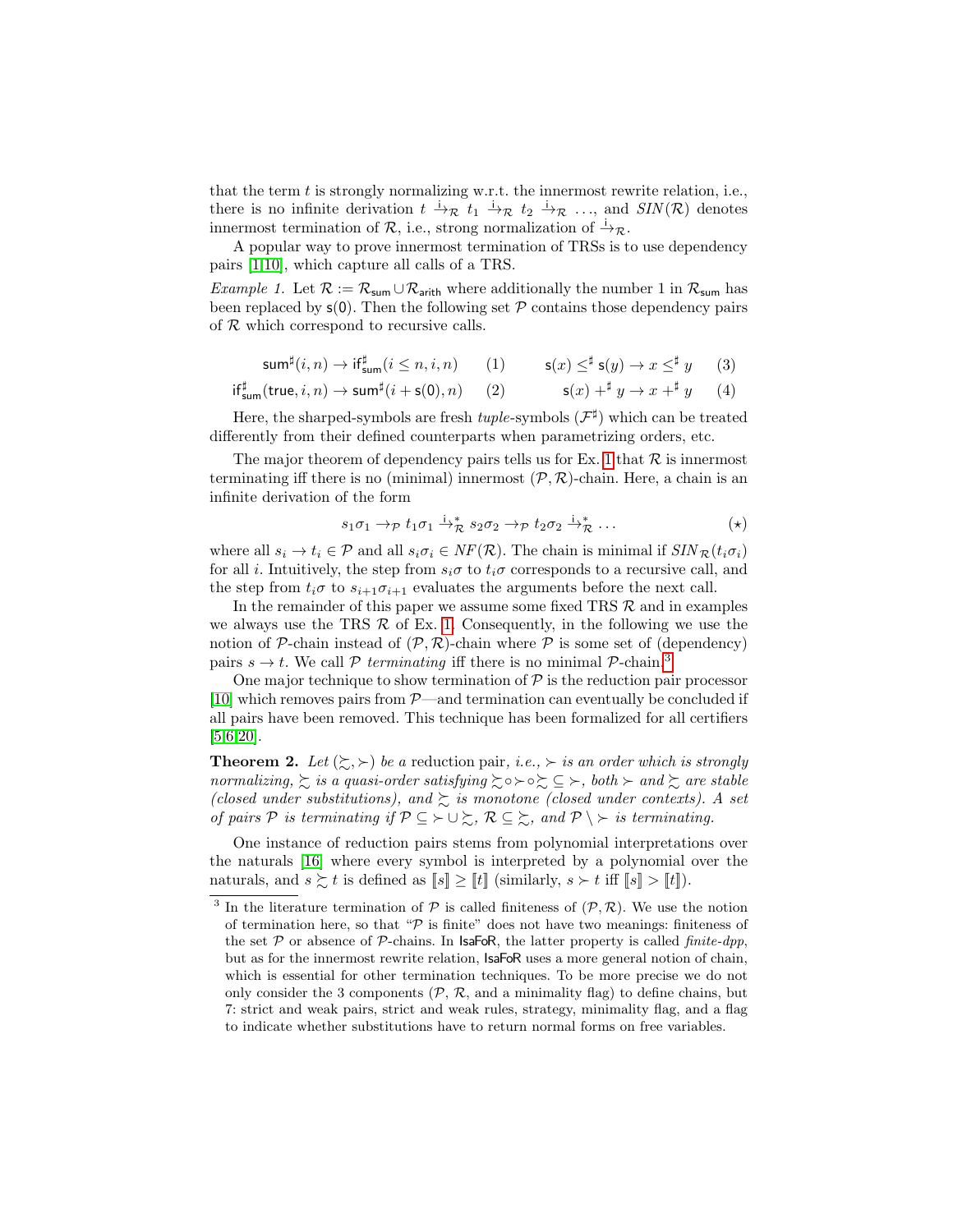that the term  $t$  is strongly normalizing w.r.t. the innermost rewrite relation, i.e., there is no infinite derivation  $t \stackrel{i}{\to} \mathcal{R}$   $t_1 \stackrel{i}{\to} \mathcal{R}$   $t_2 \stackrel{i}{\to} \mathcal{R}$  ..., and  $\text{SIN}(\mathcal{R})$  denotes innermost termination of  $\mathcal{R}$ , i.e., strong normalization of  $\stackrel{\text{i}}{\rightarrow}\mathcal{R}$ .

A popular way to prove innermost termination of TRSs is to use dependency pairs [\[1,](#page-14-0)[10\]](#page-15-10), which capture all calls of a TRS.

Example 1. Let  $\mathcal{R} := \mathcal{R}_{\text{sum}} \cup \mathcal{R}_{\text{arith}}$  where additionally the number 1 in  $\mathcal{R}_{\text{sum}}$  has been replaced by  $s(0)$ . Then the following set  $P$  contains those dependency pairs of  $R$  which correspond to recursive calls.

<span id="page-3-0"></span>
$$
\operatorname{\mathsf{sum}}^{\sharp}(i,n) \to \operatorname{if}^{\sharp}_{\operatorname{\mathsf{sum}}}(i \leq n, i, n) \qquad (1) \qquad \operatorname{\mathsf{s}}(x) \leq^{\sharp} \operatorname{\mathsf{s}}(y) \to x \leq^{\sharp} y \qquad (3)
$$

$$
\mathsf{if}^{\sharp}_{\mathsf{sum}}(\mathsf{true}, i, n) \to \mathsf{sum}^{\sharp}(i + \mathsf{s}(0), n) \qquad (2) \qquad \qquad \mathsf{s}(x) \dashv^{\sharp} y \to x \dashv^{\sharp} y \qquad (4)
$$

Here, the sharped-symbols are fresh  $tuple$ -symbols  $(\mathcal{F}^{\sharp})$  which can be treated differently from their defined counterparts when parametrizing orders, etc.

The major theorem of dependency pairs tells us for Ex. [1](#page-3-0) that  $\mathcal R$  is innermost terminating iff there is no (minimal) innermost  $(\mathcal{P}, \mathcal{R})$ -chain. Here, a chain is an infinite derivation of the form

<span id="page-3-6"></span><span id="page-3-5"></span><span id="page-3-4"></span><span id="page-3-3"></span><span id="page-3-2"></span>
$$
s_1 \sigma_1 \to_{\mathcal{P}} t_1 \sigma_1 \xrightarrow{i}^* \mathcal{R} s_2 \sigma_2 \to_{\mathcal{P}} t_2 \sigma_2 \xrightarrow{i}^* \mathcal{R} \dots \tag{*}
$$

where all  $s_i \to t_i \in \mathcal{P}$  and all  $s_i \sigma_i \in NF(\mathcal{R})$ . The chain is minimal if  $SIN_{\mathcal{R}}(t_i \sigma_i)$ for all i. Intuitively, the step from  $s_i\sigma$  to  $t_i\sigma$  corresponds to a recursive call, and the step from  $t_i\sigma$  to  $s_{i+1}\sigma_{i+1}$  evaluates the arguments before the next call.

In the remainder of this paper we assume some fixed TRS  $R$  and in examples we always use the TRS  $R$  of Ex. [1.](#page-3-0) Consequently, in the following we use the notion of P-chain instead of  $(\mathcal{P}, \mathcal{R})$ -chain where P is some set of (dependency) pairs  $s \to t$ . We call P terminating iff there is no minimal P-chain.<sup>[3](#page-3-1)</sup>

One major technique to show termination of  $\mathcal P$  is the reduction pair processor [\[10\]](#page-15-10) which removes pairs from  $P$ —and termination can eventually be concluded if all pairs have been removed. This technique has been formalized for all certifiers [\[5,](#page-15-8)[6](#page-15-7)[,20\]](#page-15-6).

**Theorem 2.** Let  $(\succsim, \succ)$  be a reduction pair, *i.e.*,  $\succ$  *is an order which is strongly* normalizing,  $\sum$  is a quasi-order satisfying  $\sum \circ \succ \circ \sum \subseteq \succ$ , both  $\succ$  and  $\sum$  are stable (closed under substitutions), and  $\succsim$  is monotone (closed under contexts). A set of pairs P is terminating if  $\mathcal{P} \subseteq \succ \cup \succsim$ ,  $\mathcal{R} \subseteq \succsim$ , and  $\mathcal{P} \setminus \succ$  is terminating.

One instance of reduction pairs stems from polynomial interpretations over the naturals [\[16\]](#page-15-3) where every symbol is interpreted by a polynomial over the naturals, and  $s \succsim t$  is defined as  $[s] \geq [t]$  (similarly,  $s \succ t$  iff  $[s] > [t]$ ).

<span id="page-3-1"></span><sup>&</sup>lt;sup>3</sup> In the literature termination of  $P$  is called finiteness of  $(P, R)$ . We use the notion of termination here, so that " $\mathcal{P}$  is finite" does not have two meanings: finiteness of the set  $\mathcal P$  or absence of  $\mathcal P$ -chains. In IsaFoR, the latter property is called *finite-dpp*, but as for the innermost rewrite relation, IsaFoR uses a more general notion of chain, which is essential for other termination techniques. To be more precise we do not only consider the 3 components  $(\mathcal{P}, \mathcal{R}, \text{ and a minimality flag})$  to define chains, but 7: strict and weak pairs, strict and weak rules, strategy, minimality flag, and a flag to indicate whether substitutions have to return normal forms on free variables.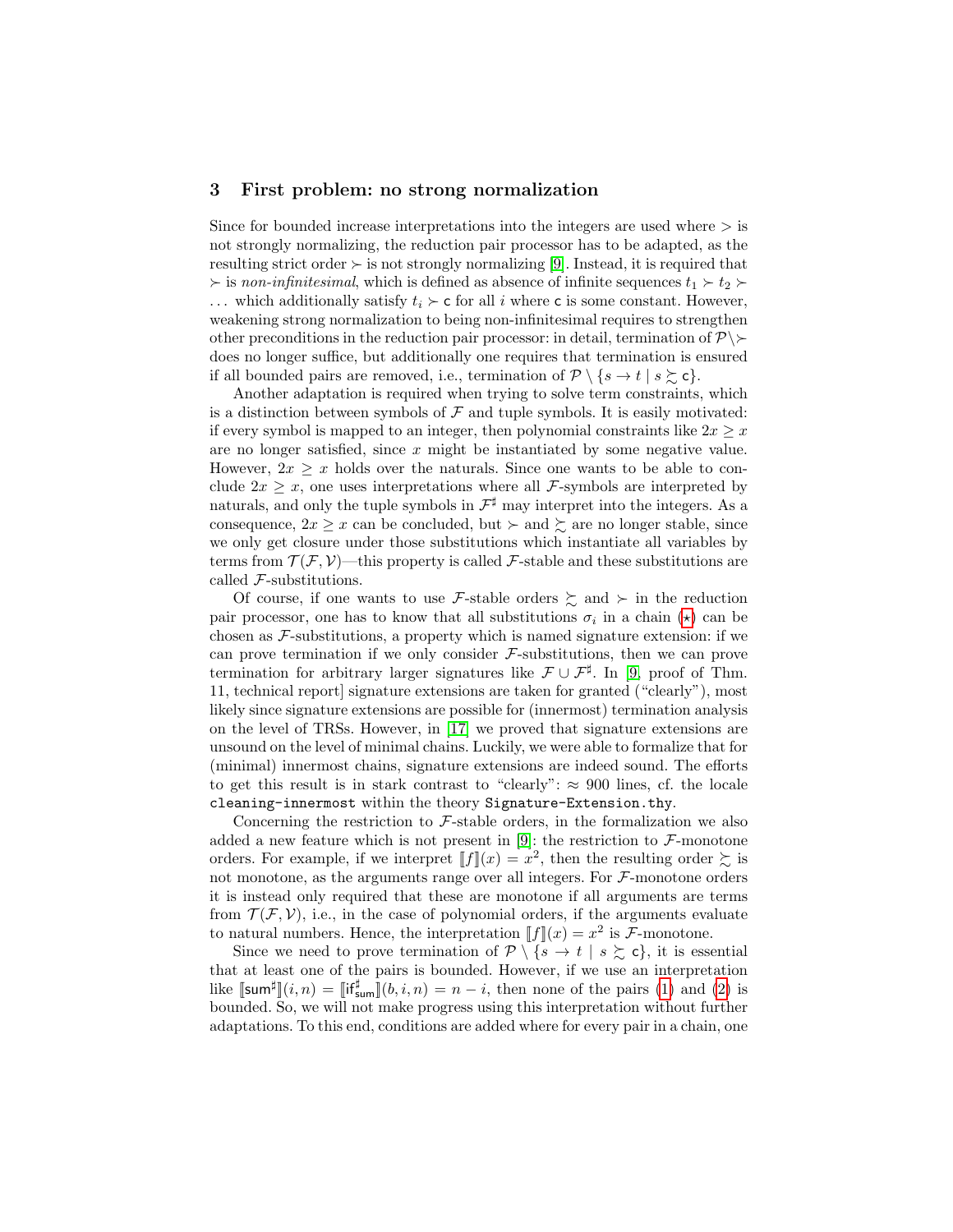#### <span id="page-4-0"></span>3 First problem: no strong normalization

Since for bounded increase interpretations into the integers are used where  $\geq$  is not strongly normalizing, the reduction pair processor has to be adapted, as the resulting strict order  $\succ$  is not strongly normalizing [\[9\]](#page-15-2). Instead, it is required that  $\geq$  is non-infinitesimal, which is defined as absence of infinite sequences  $t_1 \geq t_2$ ... which additionally satisfy  $t_i \succ c$  for all i where c is some constant. However, weakening strong normalization to being non-infinitesimal requires to strengthen other preconditions in the reduction pair processor: in detail, termination of  $\mathcal{P} \setminus \mathcal{P}$ does no longer suffice, but additionally one requires that termination is ensured if all bounded pairs are removed, i.e., termination of  $\mathcal{P} \setminus \{s \to t \mid s \succsim c\}.$ 

Another adaptation is required when trying to solve term constraints, which is a distinction between symbols of  $\mathcal F$  and tuple symbols. It is easily motivated: if every symbol is mapped to an integer, then polynomial constraints like  $2x \geq x$ are no longer satisfied, since x might be instantiated by some negative value. However,  $2x \geq x$  holds over the naturals. Since one wants to be able to conclude  $2x \geq x$ , one uses interpretations where all *F*-symbols are interpreted by naturals, and only the tuple symbols in  $\mathcal{F}^{\sharp}$  may interpret into the integers. As a consequence,  $2x \geq x$  can be concluded, but  $\succ$  and  $\succsim$  are no longer stable, since we only get closure under those substitutions which instantiate all variables by terms from  $\mathcal{T}(\mathcal{F}, \mathcal{V})$ —this property is called  $\mathcal{F}$ -stable and these substitutions are called F-substitutions.

Of course, if one wants to use F-stable orders  $\geq$  and  $\succ$  in the reduction pair processor, one has to know that all substitutions  $\sigma_i$  in a chain  $(\star)$  can be chosen as  $\mathcal F$ -substitutions, a property which is named signature extension: if we can prove termination if we only consider  $F$ -substitutions, then we can prove termination for arbitrary larger signatures like  $\mathcal{F} \cup \mathcal{F}^{\sharp}$ . In [\[9,](#page-15-2) proof of Thm. 11, technical report] signature extensions are taken for granted ("clearly"), most likely since signature extensions are possible for (innermost) termination analysis on the level of TRSs. However, in [\[17\]](#page-15-11) we proved that signature extensions are unsound on the level of minimal chains. Luckily, we were able to formalize that for (minimal) innermost chains, signature extensions are indeed sound. The efforts to get this result is in stark contrast to "clearly":  $\approx 900$  lines, cf. the locale cleaning-innermost within the theory Signature-Extension.thy.

Concerning the restriction to  $\mathcal F$ -stable orders, in the formalization we also added a new feature which is not present in [\[9\]](#page-15-2): the restriction to  $\mathcal{F}\text{-monotone}$ orders. For example, if we interpret  $[[f]](x) = x^2$ , then the resulting order  $\succsim$  is not monotone, as the arguments range over all integers. For  $\mathcal{F}\text{-monotone orders}$ it is instead only required that these are monotone if all arguments are terms from  $\mathcal{T}(\mathcal{F}, \mathcal{V})$ , i.e., in the case of polynomial orders, if the arguments evaluate to natural numbers. Hence, the interpretation  $[[f]](x) = x^2$  is F-monotone.

Since we need to prove termination of  $\mathcal{P} \setminus \{s \to t \mid s \succsim \mathsf{c}\}\)$ , it is essential that at least one of the pairs is bounded. However, if we use an interpretation like  $[\textsf{sum}^{\sharp}](i,n) = [\![\textsf{if}^{\sharp}_{\textsf{sum}}](b,i,n) = n - i$ , then none of the pairs [\(1\)](#page-3-3) and [\(2\)](#page-3-4) is bounded. So, we will not make progress using this interpretation without further adaptations. To this end, conditions are added where for every pair in a chain, one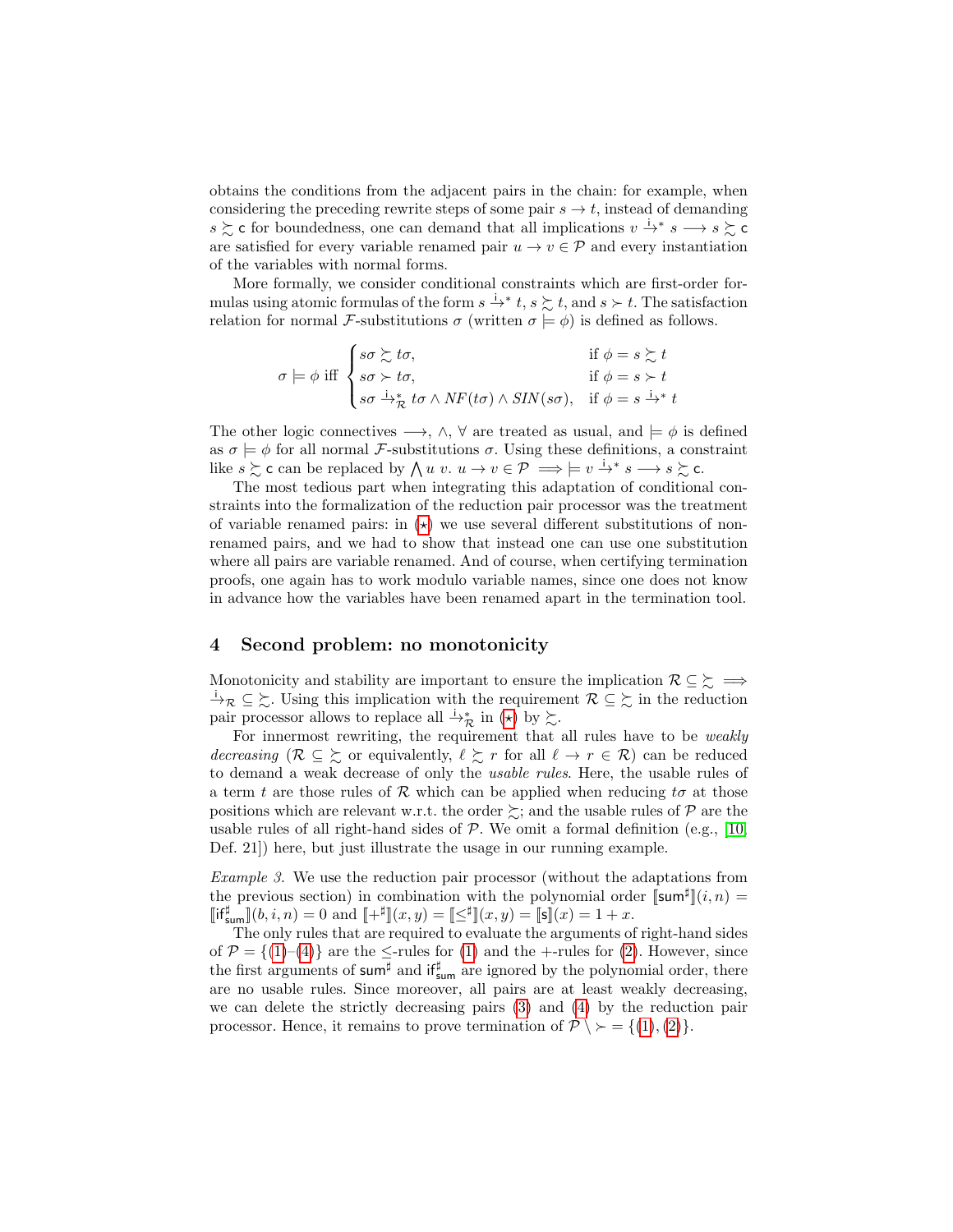obtains the conditions from the adjacent pairs in the chain: for example, when considering the preceding rewrite steps of some pair  $s \to t$ , instead of demanding s  $\geq$  c for boundedness, one can demand that all implications  $v \stackrel{i}{\rightarrow} s \rightarrow s \geq 0$ are satisfied for every variable renamed pair  $u \to v \in \mathcal{P}$  and every instantiation of the variables with normal forms.

More formally, we consider conditional constraints which are first-order formulas using atomic formulas of the form  $s \stackrel{i}{\to} t$ ,  $s \succsim t$ , and  $s \succ t$ . The satisfaction relation for normal F-substitutions  $\sigma$  (written  $\sigma \models \phi$ ) is defined as follows.

$$
\sigma \models \phi \text{ iff } \begin{cases} s\sigma \succsim t\sigma, & \text{if } \phi = s \succsim t \\ s\sigma \succ t\sigma, & \text{if } \phi = s \succ t \\ s\sigma \xrightarrow{\dot{\alpha}} \star t\sigma \wedge NF(t\sigma) \wedge SIN(s\sigma), & \text{if } \phi = s \xrightarrow{\dot{\alpha}} t \end{cases}
$$

The other logic connectives  $\longrightarrow$ ,  $\wedge$ ,  $\forall$  are treated as usual, and  $\models \phi$  is defined as  $\sigma \models \phi$  for all normal *F*-substitutions  $\sigma$ . Using these definitions, a constraint like  $s \succsim c$  can be replaced by  $\bigwedge u \, v \colon u \to v \in \mathcal{P} \implies |= v \stackrel{i}{\to}^* s \longrightarrow s \stackrel{\sim}{\sim} c$ .

The most tedious part when integrating this adaptation of conditional constraints into the formalization of the reduction pair processor was the treatment of variable renamed pairs: in  $(\star)$  we use several different substitutions of nonrenamed pairs, and we had to show that instead one can use one substitution where all pairs are variable renamed. And of course, when certifying termination proofs, one again has to work modulo variable names, since one does not know in advance how the variables have been renamed apart in the termination tool.

# 4 Second problem: no monotonicity

Monotonicity and stability are important to ensure the implication  $\mathcal{R} \subseteq \Sigma \implies$  $\frac{1}{2}\mathcal{R} \subseteq \Sigma$ . Using this implication with the requirement  $\mathcal{R} \subseteq \Sigma$  in the reduction pair processor allows to replace all  $\stackrel{i}{\rightarrow}\stackrel{*}{\mathcal{R}}$  in  $(\star)$  by  $\succsim$ .

For innermost rewriting, the requirement that all rules have to be weakly decreasing  $(\mathcal{R} \subseteq \Sigma)$  or equivalently,  $\ell \Sigma r$  for all  $\ell \to r \in \mathcal{R}$ ) can be reduced to demand a weak decrease of only the usable rules. Here, the usable rules of a term t are those rules of R which can be applied when reducing to at those positions which are relevant w.r.t. the order  $\succsim$ ; and the usable rules of P are the usable rules of all right-hand sides of  $P$ . We omit a formal definition (e.g., [\[10,](#page-15-10) Def. 21]) here, but just illustrate the usage in our running example.

<span id="page-5-0"></span>Example 3. We use the reduction pair processor (without the adaptations from the previous section) in combination with the polynomial order  $\llbracket \text{sum}^{\sharp} \rrbracket(i,n) =$  $[\![\text{if}^{\sharp}_{\textsf{sum}}]\!](b,i,n) = 0 \text{ and } [\![+\sharp]\!](x,y) = [\![\leq^{\sharp}]\!](x,y) = [\![\mathsf{s}]\!](x) = 1+x.$ 

The only rules that are required to evaluate the arguments of right-hand sides of  $\mathcal{P} = \{(1)–(4)\}\$  $\mathcal{P} = \{(1)–(4)\}\$  $\mathcal{P} = \{(1)–(4)\}\$  $\mathcal{P} = \{(1)–(4)\}\$  $\mathcal{P} = \{(1)–(4)\}\$ are the  $\leq$ -rules for  $(1)$  and the +-rules for  $(2)$ . However, since the first arguments of sum<sup>#</sup> and if<sup>#</sup><sub>sum</sub> are ignored by the polynomial order, there are no usable rules. Since moreover, all pairs are at least weakly decreasing, we can delete the strictly decreasing pairs [\(3\)](#page-3-6) and [\(4\)](#page-3-5) by the reduction pair processor. Hence, it remains to prove termination of  $\mathcal{P} \setminus \mathcal{P} = \{(1), (2)\}.$  $\mathcal{P} \setminus \mathcal{P} = \{(1), (2)\}.$  $\mathcal{P} \setminus \mathcal{P} = \{(1), (2)\}.$  $\mathcal{P} \setminus \mathcal{P} = \{(1), (2)\}.$  $\mathcal{P} \setminus \mathcal{P} = \{(1), (2)\}.$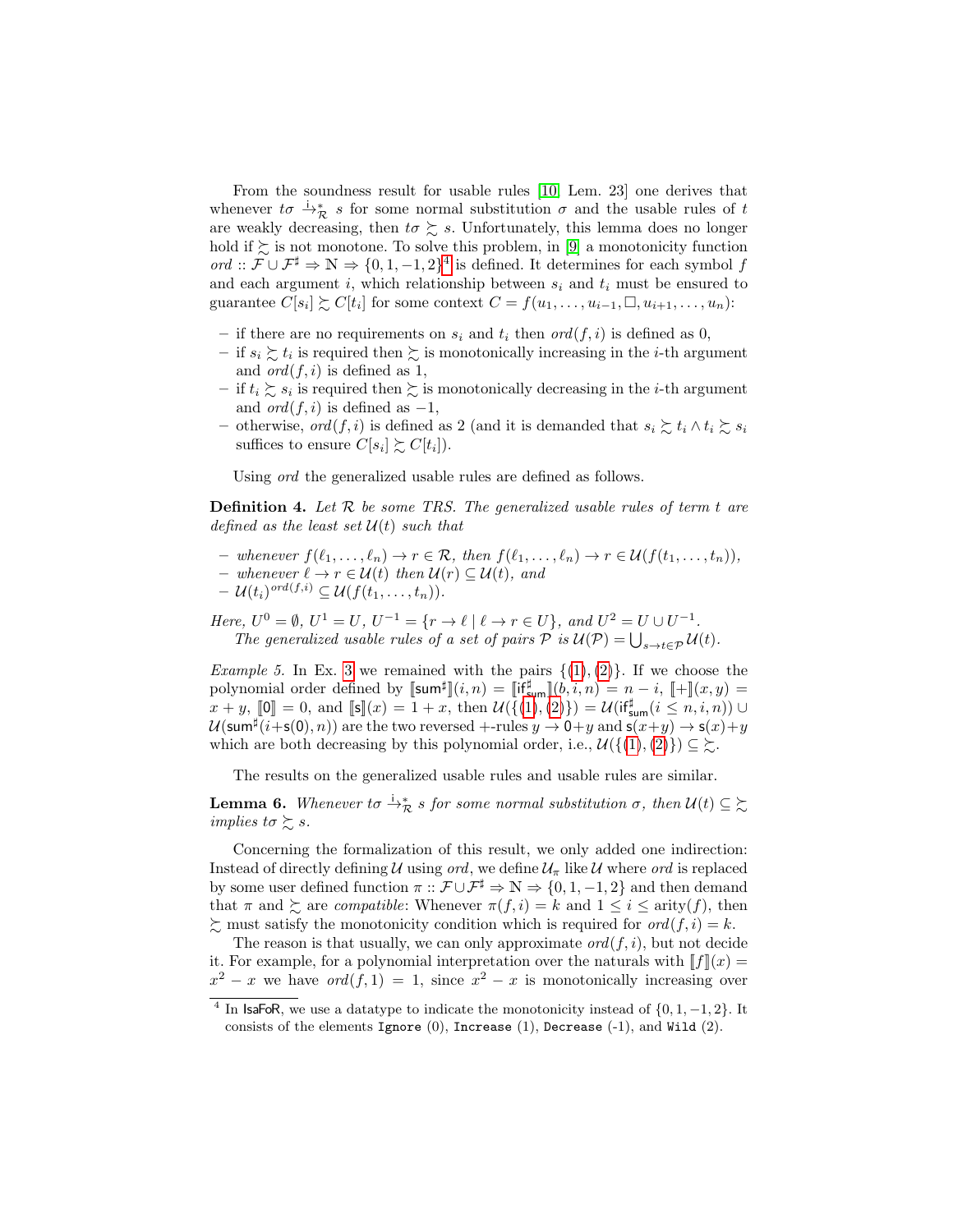From the soundness result for usable rules [\[10,](#page-15-10) Lem. 23] one derives that whenever  $t\sigma \stackrel{\cdot}{\rightarrow}^*_{\mathcal{R}} s$  for some normal substitution  $\sigma$  and the usable rules of t are weakly decreasing, then  $t\sigma \gtrsim s$ . Unfortunately, this lemma does no longer hold if  $\succsim$  is not monotone. To solve this problem, in [\[9\]](#page-15-2) a monotonicity function ord ::  $\mathcal{F} \cup \mathcal{F}^{\sharp} \Rightarrow \mathbb{N} \Rightarrow \{0, 1, -1, 2\}^{4}$  $\mathcal{F} \cup \mathcal{F}^{\sharp} \Rightarrow \mathbb{N} \Rightarrow \{0, 1, -1, 2\}^{4}$  $\mathcal{F} \cup \mathcal{F}^{\sharp} \Rightarrow \mathbb{N} \Rightarrow \{0, 1, -1, 2\}^{4}$  is defined. It determines for each symbol f and each argument i, which relationship between  $s_i$  and  $t_i$  must be ensured to guarantee  $C[s_i] \succsim C[t_i]$  for some context  $C = f(u_1, \ldots, u_{i-1}, \Box, u_{i+1}, \ldots, u_n)$ :

- if there are no requirements on  $s_i$  and  $t_i$  then  $\text{ord}(f, i)$  is defined as 0,
- if  $s_i \succsim t_i$  is required then  $\succsim$  is monotonically increasing in the *i*-th argument and  $ord(f, i)$  is defined as 1,
- if  $t_i \gtrsim s_i$  is required then  $\gtrsim$  is monotonically decreasing in the *i*-th argument and  $ord(f, i)$  is defined as  $-1$ ,
- otherwise, ord(f, i) is defined as 2 (and it is demanded that  $s_i \succsim t_i \wedge t_i \succsim s_i$ suffices to ensure  $C[s_i] \succsim C[t_i]$ ).

Using ord the generalized usable rules are defined as follows.

**Definition 4.** Let  $\mathcal{R}$  be some TRS. The generalized usable rules of term t are defined as the least set  $\mathcal{U}(t)$  such that

- whenever  $f(\ell_1, \ldots, \ell_n) \to r \in \mathcal{R}$ , then  $f(\ell_1, \ldots, \ell_n) \to r \in \mathcal{U}(f(t_1, \ldots, t_n)),$
- $-$  whenever  $\ell \to r \in \mathcal{U}(t)$  then  $\mathcal{U}(r) \subseteq \mathcal{U}(t)$ , and
- $\mathcal{U}(t_i)^{ord(f,i)} \subseteq \mathcal{U}(f(t_1,\ldots,t_n)).$

Here,  $U^0 = \emptyset$ ,  $U^1 = U$ ,  $U^{-1} = \{r \to \ell \mid \ell \to r \in U\}$ , and  $U^2 = U \cup U^{-1}$ . The generalized usable rules of a set of pairs  $P$  is  $\mathcal{U}(P) = \bigcup_{s \to t \in \mathcal{P}} \mathcal{U}(t)$ .

<span id="page-6-2"></span>Example 5. In Ex. [3](#page-5-0) we remained with the pairs  $\{(1),(2)\}$  $\{(1),(2)\}$  $\{(1),(2)\}$  $\{(1),(2)\}$  $\{(1),(2)\}$ . If we choose the polynomial order defined by  $[\![\mathsf{sum}^\sharp\!](i,n) = [\![\mathsf{if}^\sharp_{\mathsf{sum}}\!](b,i,n) = n - i, [\![+](x,y) =$  $x + y$ ,  $[\![0]\!] = 0$ , and  $[\![s]\!] (x) = 1 + x$ , then  $\mathcal{U}(\{(1), (2)\}) = \mathcal{U}(\{\mathsf{if}_{\mathsf{sum}}^{\sharp}(i \leq n, i, n)) \cup \mathcal{U}(\{\mathsf{if}_{\mathsf{sum}}^{\sharp}(i \leq n, i, n)\})$  $\mathcal{U}(\{(1), (2)\}) = \mathcal{U}(\{\mathsf{if}_{\mathsf{sum}}^{\sharp}(i \leq n, i, n)) \cup \mathcal{U}(\{\mathsf{if}_{\mathsf{sum}}^{\sharp}(i \leq n, i, n)\})$  $\mathcal{U}(\{(1), (2)\}) = \mathcal{U}(\{\mathsf{if}_{\mathsf{sum}}^{\sharp}(i \leq n, i, n)) \cup \mathcal{U}(\{\mathsf{if}_{\mathsf{sum}}^{\sharp}(i \leq n, i, n)\})$  $\mathcal{U}(\{(1), (2)\}) = \mathcal{U}(\{\mathsf{if}_{\mathsf{sum}}^{\sharp}(i \leq n, i, n)) \cup \mathcal{U}(\{\mathsf{if}_{\mathsf{sum}}^{\sharp}(i \leq n, i, n)\})$  $\mathcal{U}(\{(1), (2)\}) = \mathcal{U}(\{\mathsf{if}_{\mathsf{sum}}^{\sharp}(i \leq n, i, n)) \cup \mathcal{U}(\{\mathsf{if}_{\mathsf{sum}}^{\sharp}(i \leq n, i, n)\})$  $\mathcal{U}(\mathsf{sum}^{\sharp}(i+\mathsf{s}(0),n))$  are the two reversed +-rules  $y\to 0+y$  and  $\mathsf{s}(x+y)\to \mathsf{s}(x)+y$ which are both decreasing by this polynomial order, i.e.,  $\mathcal{U}(\{(1), (2)\}) \subseteq \Sigma$  $\mathcal{U}(\{(1), (2)\}) \subseteq \Sigma$  $\mathcal{U}(\{(1), (2)\}) \subseteq \Sigma$  $\mathcal{U}(\{(1), (2)\}) \subseteq \Sigma$  $\mathcal{U}(\{(1), (2)\}) \subseteq \Sigma$ .

<span id="page-6-1"></span>The results on the generalized usable rules and usable rules are similar.

**Lemma 6.** Whenever to  $\stackrel{\text{i}}{\rightarrow} \frac{*}{\mathcal{R}}$  s for some normal substitution  $\sigma$ , then  $\mathcal{U}(t) \subseteq \stackrel{\text{i}}{\sim}$ implies to  $\succsim s$ .

Concerning the formalization of this result, we only added one indirection: Instead of directly defining U using ord, we define  $\mathcal{U}_{\pi}$  like U where ord is replaced by some user defined function  $\pi$  ::  $\mathcal{F} \cup \mathcal{F}^{\sharp} \Rightarrow \mathbb{N} \Rightarrow \{0, 1, -1, 2\}$  and then demand that  $\pi$  and  $\gtrsim$  are *compatible*: Whenever  $\pi(f, i) = k$  and  $1 \leq i \leq \text{arity}(f)$ , then  $\sum$  must satisfy the monotonicity condition which is required for  $ord(f, i) = k$ .

The reason is that usually, we can only approximate  $\text{ord}(f, i)$ , but not decide it. For example, for a polynomial interpretation over the naturals with  $\llbracket f \rrbracket(x) =$  $x^2 - x$  we have  $ord(f, 1) = 1$ , since  $x^2 - x$  is monotonically increasing over

<span id="page-6-0"></span><sup>&</sup>lt;sup>4</sup> In IsaFoR, we use a datatype to indicate the monotonicity instead of  $\{0, 1, -1, 2\}$ . It consists of the elements Ignore  $(0)$ , Increase  $(1)$ , Decrease  $(-1)$ , and Wild  $(2)$ .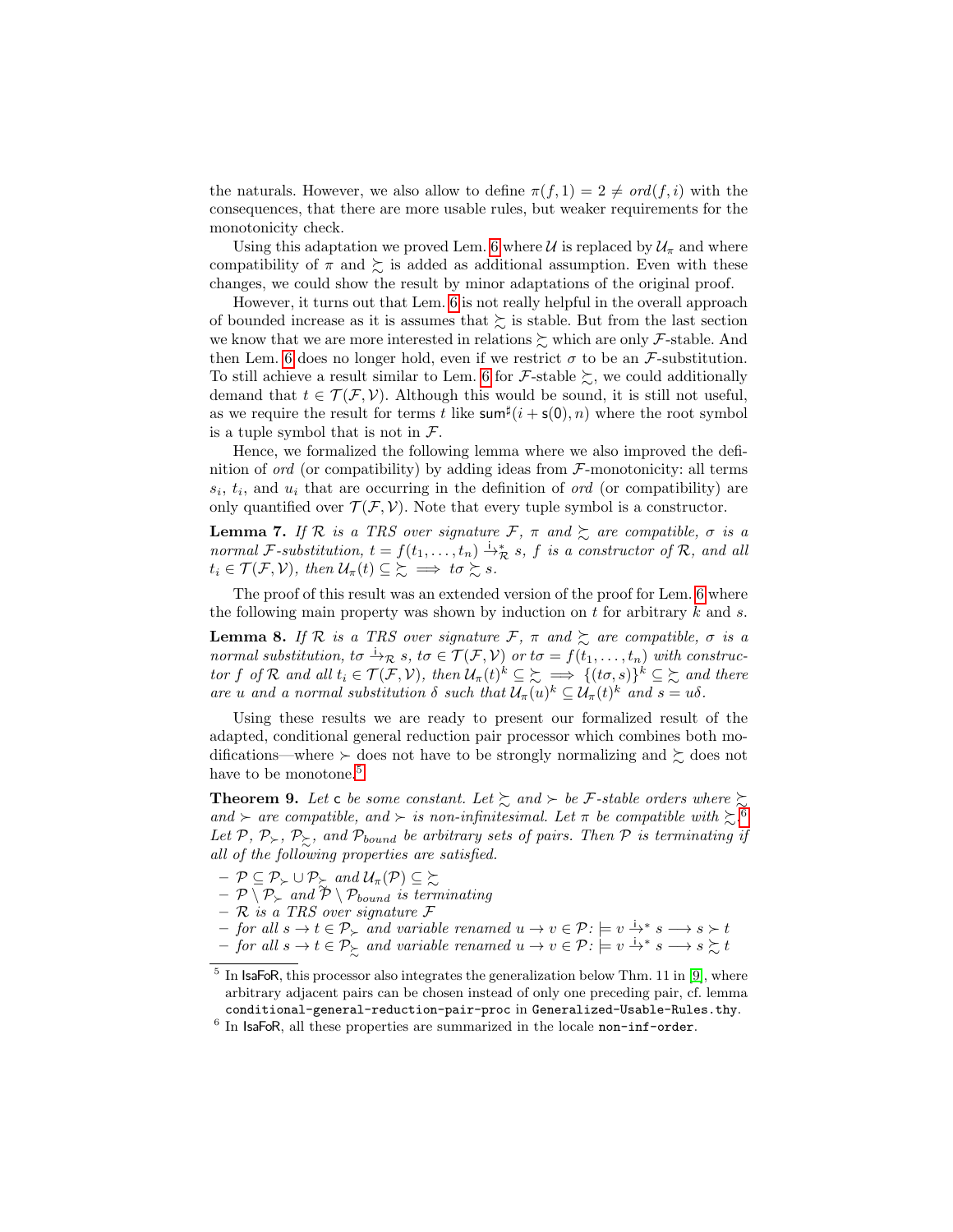the naturals. However, we also allow to define  $\pi(f, 1) = 2 \neq ord(f, i)$  with the consequences, that there are more usable rules, but weaker requirements for the monotonicity check.

Using this adaptation we proved Lem. [6](#page-6-1) where U is replaced by  $\mathcal{U}_{\pi}$  and where compatibility of  $\pi$  and  $\succeq$  is added as additional assumption. Even with these changes, we could show the result by minor adaptations of the original proof.

However, it turns out that Lem. [6](#page-6-1) is not really helpful in the overall approach of bounded increase as it is assumes that  $\succeq$  is stable. But from the last section we know that we are more interested in relations  $\succeq$  which are only F-stable. And then Lem. [6](#page-6-1) does no longer hold, even if we restrict  $\sigma$  to be an *F*-substitution. To still achieve a result similar to Lem. [6](#page-6-1) for F-stable  $\succsim$ , we could additionally demand that  $t \in \mathcal{T}(\mathcal{F}, \mathcal{V})$ . Although this would be sound, it is still not useful, as we require the result for terms t like  $\operatorname{sum}^{\sharp}(i + s(0), n)$  where the root symbol is a tuple symbol that is not in  $\mathcal{F}.$ 

Hence, we formalized the following lemma where we also improved the definition of *ord* (or compatibility) by adding ideas from  $\mathcal{F}$ -monotonicity: all terms  $s_i, t_i$ , and  $u_i$  that are occurring in the definition of *ord* (or compatibility) are only quantified over  $\mathcal{T}(\mathcal{F}, \mathcal{V})$ . Note that every tuple symbol is a constructor.

**Lemma 7.** If R is a TRS over signature F,  $\pi$  and  $\geq$  are compatible,  $\sigma$  is a normal F-substitution,  $t = f(t_1, \ldots, t_n) \stackrel{\mathsf{i}}{\rightarrow} \mathcal{R}$  s, f is a constructor of  $\mathcal{R}$ , and all  $t_i \in \mathcal{T}(\mathcal{F}, \mathcal{V})$ , then  $\mathcal{U}_{\pi}(t) \subseteq \mathcal{E} \implies t\sigma \succsim s$ .

The proof of this result was an extended version of the proof for Lem. [6](#page-6-1) where the following main property was shown by induction on  $t$  for arbitrary  $k$  and  $s$ .

**Lemma 8.** If R is a TRS over signature F,  $\pi$  and  $\succeq$  are compatible,  $\sigma$  is a normal substitution, to  $\stackrel{i}{\to}_{\mathcal{R}} s$ , to  $\in \mathcal{T}(\mathcal{F}, \mathcal{V})$  or to  $=f(t_1, \ldots, t_n)$  with constructor f of R and all  $t_i \in \mathcal{T}(\mathcal{F}, \mathcal{V})$ , then  $\mathcal{U}_{\pi}(t)^k \subseteq \mathcal{Z} \implies \{ (t\sigma, s) \}^k \subseteq \mathcal{Z}$  and there are u and a normal substitution  $\delta$  such that  $\mathcal{U}_{\pi}(u)^{k} \subseteq \mathcal{U}_{\pi}(t)^{k}$  and  $s = u\delta$ .

Using these results we are ready to present our formalized result of the adapted, conditional general reduction pair processor which combines both modifications—where  $\succ$  does not have to be strongly normalizing and  $\succsim$  does not have to be monotone.<sup>[5](#page-7-0)</sup>

<span id="page-7-2"></span>**Theorem 9.** Let c be some constant. Let  $\sum$  and  $\succ$  be F-stable orders where  $\sum$ and  $\succ$  are compatible, and  $\succ$  is non-infinitesimal. Let  $\pi$  be compatible with  $\succsim$ .<sup>[6](#page-7-1)</sup> Let  $P, P_{\succ}, P_{\succsim}$ , and  $P_{bound}$  be arbitrary sets of pairs. Then  $P$  is terminating if all of the following properties are satisfied.

- $\mathcal{P} \subseteq \mathcal{P}_{\succ} \cup \mathcal{P}_{\succeq} \text{ and } \mathcal{U}_{\pi}(\mathcal{P}) \subseteq \succeq$
- $\mathcal{P} \setminus \mathcal{P}_{\succ}$  and  $\mathcal{\tilde{P}} \setminus \mathcal{P}_{bound}$  is terminating
- $-$  R is a TRS over signature F
- $-$  for all  $s \to t \in \mathcal{P}_{\succ}$  and variable renamed  $u \to v \in \mathcal{P}: \models v \stackrel{i}{\to}^* s \longrightarrow s \succ t$
- $-$  for all  $s \to t \in \mathcal{P}^\backslash$  and variable renamed  $u \to v \in \mathcal{P}$ :  $\models v \stackrel{i_*}{\to} s \longrightarrow s \succsim t$

<span id="page-7-0"></span> $<sup>5</sup>$  In IsaFoR, this processor also integrates the generalization below Thm. 11 in [\[9\]](#page-15-2), where</sup> arbitrary adjacent pairs can be chosen instead of only one preceding pair, cf. lemma conditional-general-reduction-pair-proc in Generalized-Usable-Rules.thy.

<span id="page-7-1"></span> $6$  In IsaFoR, all these properties are summarized in the locale non-inf-order.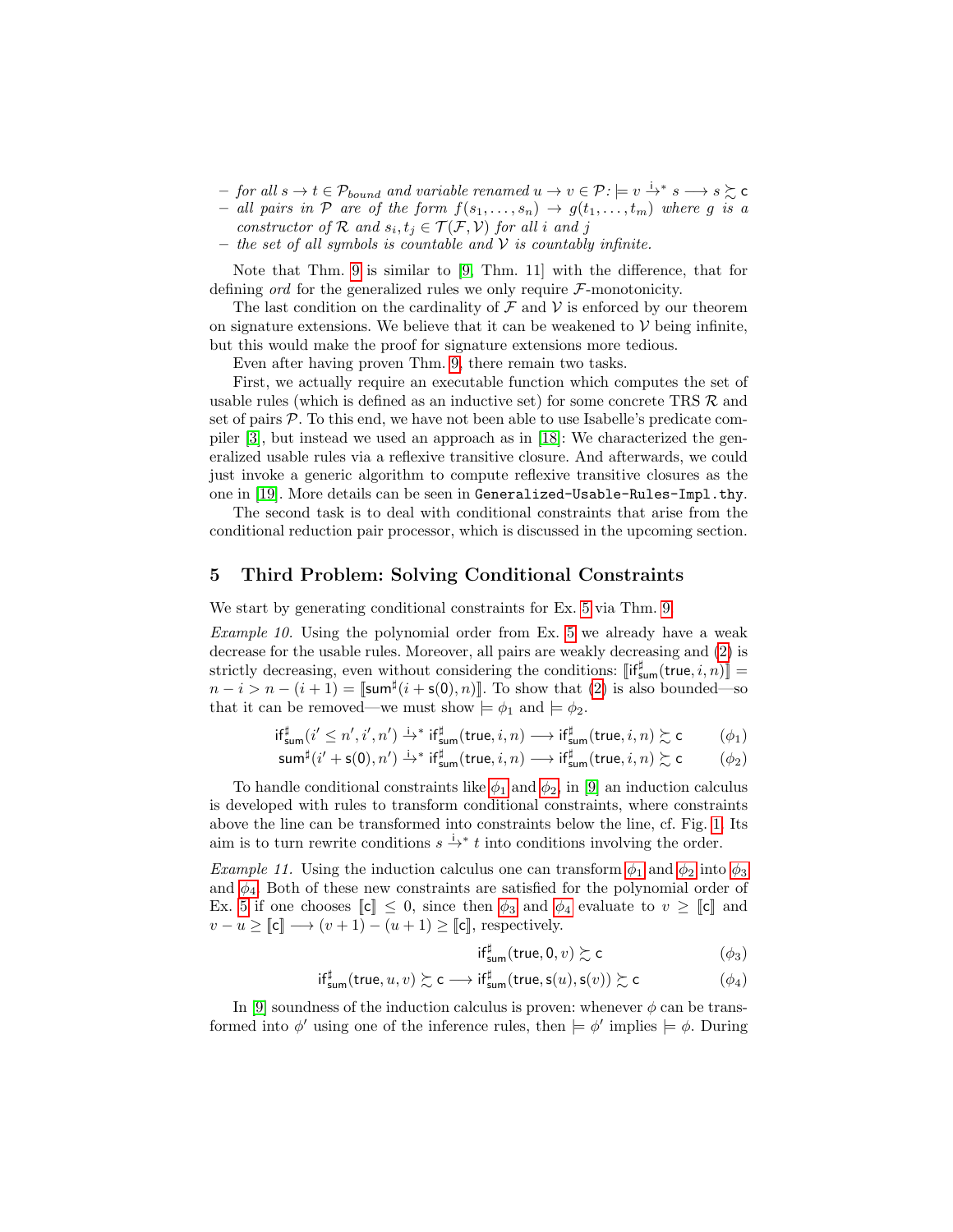- $-$  for all  $s \to t \in \mathcal{P}_{bound}$  and variable renamed  $u \to v \in \mathcal{P}$ :  $\models v \stackrel{i}{\to}^* s \longrightarrow s \succsim c$
- − all pairs in  $P$  are of the form  $f(s_1, \ldots, s_n)$  →  $g(t_1, \ldots, t_m)$  where g is a constructor of R and  $s_i, t_j \in \mathcal{T}(\mathcal{F}, \mathcal{V})$  for all i and j
- the set of all symbols is countable and  $\mathcal V$  is countably infinite.

Note that Thm. [9](#page-7-2) is similar to [\[9,](#page-15-2) Thm. 11] with the difference, that for defining *ord* for the generalized rules we only require  $F$ -monotonicity.

The last condition on the cardinality of  $\mathcal F$  and  $\mathcal V$  is enforced by our theorem on signature extensions. We believe that it can be weakened to  $V$  being infinite, but this would make the proof for signature extensions more tedious.

Even after having proven Thm. [9,](#page-7-2) there remain two tasks.

First, we actually require an executable function which computes the set of usable rules (which is defined as an inductive set) for some concrete TRS  $R$  and set of pairs  $P$ . To this end, we have not been able to use Isabelle's predicate compiler [\[3\]](#page-15-12), but instead we used an approach as in [\[18\]](#page-15-13): We characterized the generalized usable rules via a reflexive transitive closure. And afterwards, we could just invoke a generic algorithm to compute reflexive transitive closures as the one in [\[19\]](#page-15-14). More details can be seen in Generalized-Usable-Rules-Impl.thy.

The second task is to deal with conditional constraints that arise from the conditional reduction pair processor, which is discussed in the upcoming section.

#### <span id="page-8-0"></span>5 Third Problem: Solving Conditional Constraints

We start by generating conditional constraints for Ex. [5](#page-6-2) via Thm. [9.](#page-7-2)

Example 10. Using the polynomial order from Ex. [5](#page-6-2) we already have a weak decrease for the usable rules. Moreover, all pairs are weakly decreasing and [\(2\)](#page-3-4) is strictly decreasing, even without considering the conditions:  $\left[\mathsf{if}^{\sharp}_{\mathsf{sum}}(\mathsf{true}, i, n)\right] =$  $n-i > n-(i+1) = \llbracket \text{sum}^{\sharp}(i+s(0),n) \rrbracket$ . To show that [\(2\)](#page-3-4) is also bounded—so that it can be removed—we must show  $\models \phi_1$  and  $\models \phi_2$ .

$$
\mathsf{if}^{\sharp}_{\mathsf{sum}}(i' \leq n',i',n') \xrightarrow{\mathsf{i}} \mathsf{if}^{\sharp}_{\mathsf{sum}}(\mathsf{true},i,n) \longrightarrow \mathsf{if}^{\sharp}_{\mathsf{sum}}(\mathsf{true},i,n) \succsim \mathsf{c} \qquad \qquad (\phi_1)
$$

$$
\operatorname{sum}^{\sharp}(i'+\operatorname{s}(0),n') \xrightarrow{i_*} \operatorname{if}^{\sharp}_{\operatorname{sum}}(\operatorname{true},i,n) \longrightarrow \operatorname{if}^{\sharp}_{\operatorname{sum}}(\operatorname{true},i,n) \succsim \operatorname{c} \qquad (\phi_2)
$$

To handle conditional constraints like  $\phi_1$  and  $\phi_2$ , in [\[9\]](#page-15-2) an induction calculus is developed with rules to transform conditional constraints, where constraints above the line can be transformed into constraints below the line, cf. Fig. [1.](#page-9-0) Its aim is to turn rewrite conditions  $s \stackrel{i}{\rightarrow} t$  into conditions involving the order.

Example 11. Using the induction calculus one can transform  $\phi_1$  and  $\phi_2$  into  $\phi_3$ and  $\phi_4$ . Both of these new constraints are satisfied for the polynomial order of Ex. [5](#page-6-2) if one chooses  $\llbracket \mathbf{c} \rrbracket \leq 0$ , since then  $\phi_3$  and  $\phi_4$  evaluate to  $v \geq \llbracket \mathbf{c} \rrbracket$  and  $v - u \geq \llbracket \mathbf{c} \rrbracket \longrightarrow (v + 1) - (u + 1) \geq \llbracket \mathbf{c} \rrbracket$ , respectively.

<span id="page-8-4"></span><span id="page-8-3"></span><span id="page-8-2"></span><span id="page-8-1"></span>
$$
\mathsf{if}^{\sharp}_{\mathsf{sum}}(\mathsf{true},0,v) \succsim \mathsf{c} \tag{\phi_3}
$$

$$
\mathsf{if}^\sharp_{\mathsf{sum}}(\mathsf{true}, u, v) \succsim \mathsf{c} \longrightarrow \mathsf{if}^\sharp_{\mathsf{sum}}(\mathsf{true}, \mathsf{s}(u), \mathsf{s}(v)) \succsim \mathsf{c} \qquad \qquad (\phi_4)
$$

In [\[9\]](#page-15-2) soundness of the induction calculus is proven: whenever  $\phi$  can be transformed into  $\phi'$  using one of the inference rules, then  $\models \phi'$  implies  $\models \phi$ . During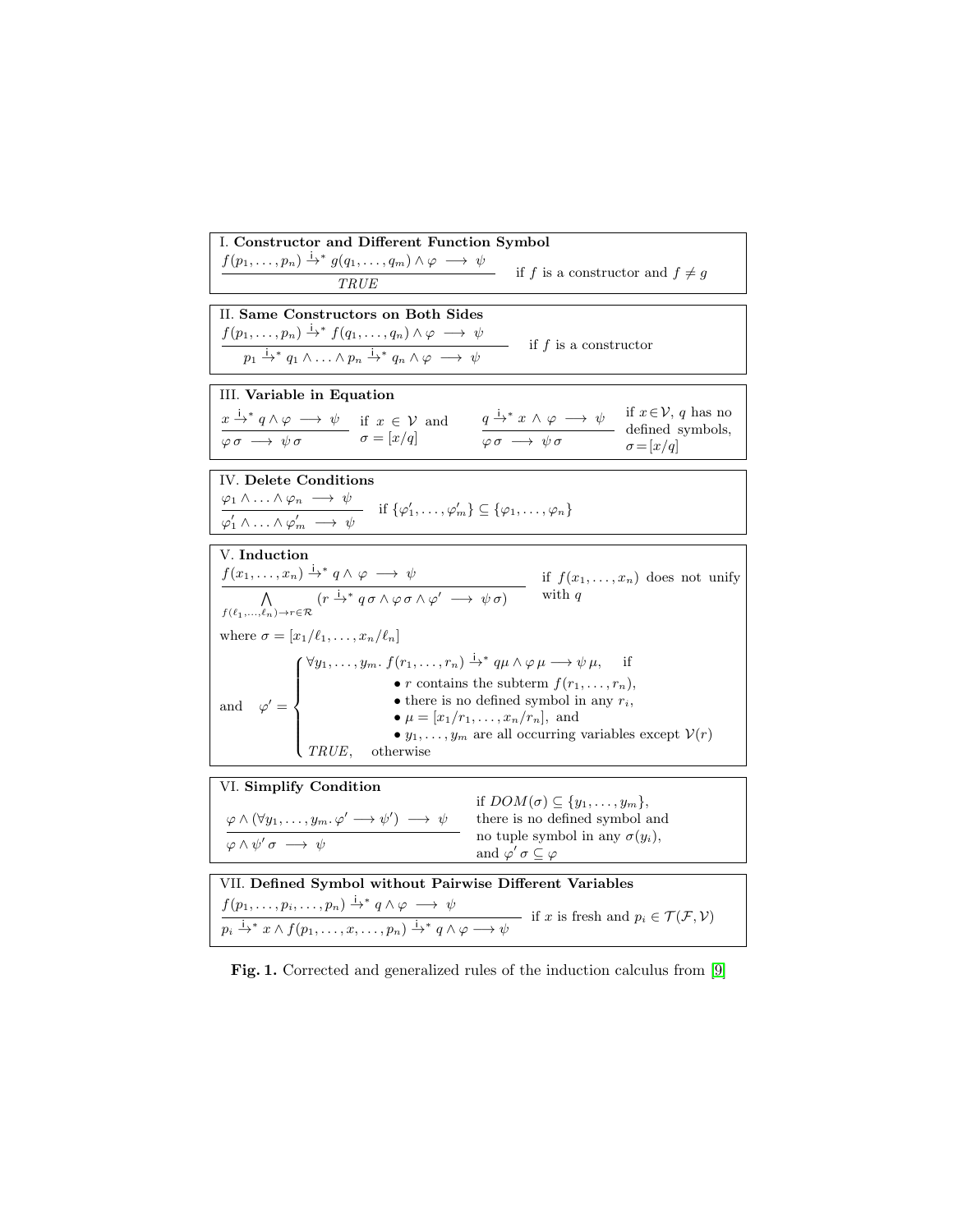| I. Constructor and Different Function Symbol                                                                                                                                                                                                                                                                                                                                                                                                                                                                                                                                        |
|-------------------------------------------------------------------------------------------------------------------------------------------------------------------------------------------------------------------------------------------------------------------------------------------------------------------------------------------------------------------------------------------------------------------------------------------------------------------------------------------------------------------------------------------------------------------------------------|
| $f(p_1,\ldots,p_n)\stackrel{\text{i}}{\to}{}^*g(q_1,\ldots,q_m)\wedge\varphi\;\longrightarrow\;\psi$<br>if f is a constructor and $f \neq g$<br>TRUE                                                                                                                                                                                                                                                                                                                                                                                                                                |
| II. Same Constructors on Both Sides                                                                                                                                                                                                                                                                                                                                                                                                                                                                                                                                                 |
| $f(p_1,\ldots,p_n) \stackrel{\mathsf{i}}{\rightarrow}^* f(q_1,\ldots,q_n) \land \varphi \longrightarrow \psi$                                                                                                                                                                                                                                                                                                                                                                                                                                                                       |
| if $f$ is a constructor<br>$p_1 \stackrel{\mathbf{i}}{\rightarrow}^* q_1 \wedge \ldots \wedge p_n \stackrel{\mathbf{i}}{\rightarrow}^* q_n \wedge \varphi \longrightarrow \psi$                                                                                                                                                                                                                                                                                                                                                                                                     |
| III. Variable in Equation                                                                                                                                                                                                                                                                                                                                                                                                                                                                                                                                                           |
| if $x \in V$ , q has no<br>$\frac{x \xrightarrow{i}^* q \wedge \varphi \longrightarrow \psi}{\varphi \sigma \longrightarrow \psi \sigma} \quad \text{if } x \in \mathcal{V} \text{ and}$<br>$\sigma = [x/q]$<br>$\frac{q \stackrel{\text{i}}{\rightarrow}^* x \land \varphi \longrightarrow \psi}{\varphi \sigma \longrightarrow \psi \sigma}$<br>defined symbols,<br>$\sigma = [x/q]$                                                                                                                                                                                              |
| IV. Delete Conditions                                                                                                                                                                                                                                                                                                                                                                                                                                                                                                                                                               |
|                                                                                                                                                                                                                                                                                                                                                                                                                                                                                                                                                                                     |
| $\frac{\varphi_1 \wedge \ldots \wedge \varphi_n \longrightarrow \psi}{\varphi'_1 \wedge \ldots \wedge \varphi'_m \longrightarrow \psi}$ if $\{\varphi'_1, \ldots, \varphi'_m\} \subseteq \{\varphi_1, \ldots, \varphi_n\}$                                                                                                                                                                                                                                                                                                                                                          |
| V. Induction                                                                                                                                                                                                                                                                                                                                                                                                                                                                                                                                                                        |
| if $f(x_1,,x_n)$ does not unify                                                                                                                                                                                                                                                                                                                                                                                                                                                                                                                                                     |
| $\frac{f(x_1,,x_n) \stackrel{\text{i}}{\rightarrow} q \land \varphi \longrightarrow \psi}{f(\ell_1,,\ell_n) \rightarrow r \in \mathcal{R}} \quad \text{if } f(x_1) \qquad \qquad \text{with } q \qquad \qquad \ell_1 \longrightarrow \ell_2 \land \varphi \sigma \land \varphi' \longrightarrow \psi \sigma) \qquad \text{with } q \qquad \qquad \ell_2 \longrightarrow \ell_1 \longrightarrow \ell_2 \land \varphi \sigma \land \varphi' \longrightarrow \psi \sigma$                                                                                                              |
| where $\sigma = [x_1/\ell_1, \ldots, x_n/\ell_n]$                                                                                                                                                                                                                                                                                                                                                                                                                                                                                                                                   |
| $\forall y_1, \ldots, y_m \ldotp f(r_1, \ldots, r_n) \stackrel{\mathsf{i}}{\rightarrow}^* q\mu \wedge \varphi \mu \longrightarrow \psi \mu,$                                                                                                                                                                                                                                                                                                                                                                                                                                        |
| and $\varphi' = \begin{cases} \varphi_1, \dots, \varphi_m, \ y_1 \dots, \varphi_m \dots, \varphi_m \dots \varphi_m \dots \varphi_m \dots \varphi_m \dots \varphi_m \dots \varphi_m \dots \varphi_m \dots \varphi_m \dots \varphi_m \dots \varphi_m \dots \varphi_m \dots \varphi_m \dots \varphi_m \dots \varphi_m \dots \varphi_m \dots \varphi_m \dots \varphi_m \dots \varphi_m \dots \varphi_m \dots \varphi_m \dots \varphi_m \dots \varphi_m \dots \varphi_m \dots \varphi_m \dots \varphi_m \dots \varphi_m \dots \varphi_m \dots \varphi_m \dots \varphi_m \dots \varphi_m$ |
|                                                                                                                                                                                                                                                                                                                                                                                                                                                                                                                                                                                     |
|                                                                                                                                                                                                                                                                                                                                                                                                                                                                                                                                                                                     |
| • $y_1, \ldots, y_m$ are all occurring variables except $V(r)$<br>$TRUE$ , otherwise                                                                                                                                                                                                                                                                                                                                                                                                                                                                                                |
| VI. Simplify Condition                                                                                                                                                                                                                                                                                                                                                                                                                                                                                                                                                              |
| if $DOM(\sigma) \subseteq \{y_1,\ldots,y_m\},\$                                                                                                                                                                                                                                                                                                                                                                                                                                                                                                                                     |
| $\varphi \wedge (\forall y_1, \ldots, y_m, \varphi' \longrightarrow \psi') \longrightarrow \psi$<br>there is no defined symbol and                                                                                                                                                                                                                                                                                                                                                                                                                                                  |
| no tuple symbol in any $\sigma(y_i)$ ,<br>$\varphi \wedge \psi' \sigma \longrightarrow \psi$<br>and $\varphi' \sigma \subseteq \varphi$                                                                                                                                                                                                                                                                                                                                                                                                                                             |
| VII. Defined Symbol without Pairwise Different Variables                                                                                                                                                                                                                                                                                                                                                                                                                                                                                                                            |
| $f(p_1,\ldots,p_i,\ldots,p_n) \stackrel{i}{\rightarrow}^* q \wedge \varphi \longrightarrow \psi$                                                                                                                                                                                                                                                                                                                                                                                                                                                                                    |
| — if x is fresh and $p_i \in \mathcal{T}(\mathcal{F}, \mathcal{V})$<br>$p_i \stackrel{\mathsf{i}}{\rightarrow}^* x \wedge f(p_1, \ldots, x, \ldots, p_n) \stackrel{\mathsf{i}}{\rightarrow}^* q \wedge \varphi \longrightarrow \psi$                                                                                                                                                                                                                                                                                                                                                |

<span id="page-9-0"></span>Fig. 1. Corrected and generalized rules of the induction calculus from [\[9\]](#page-15-2)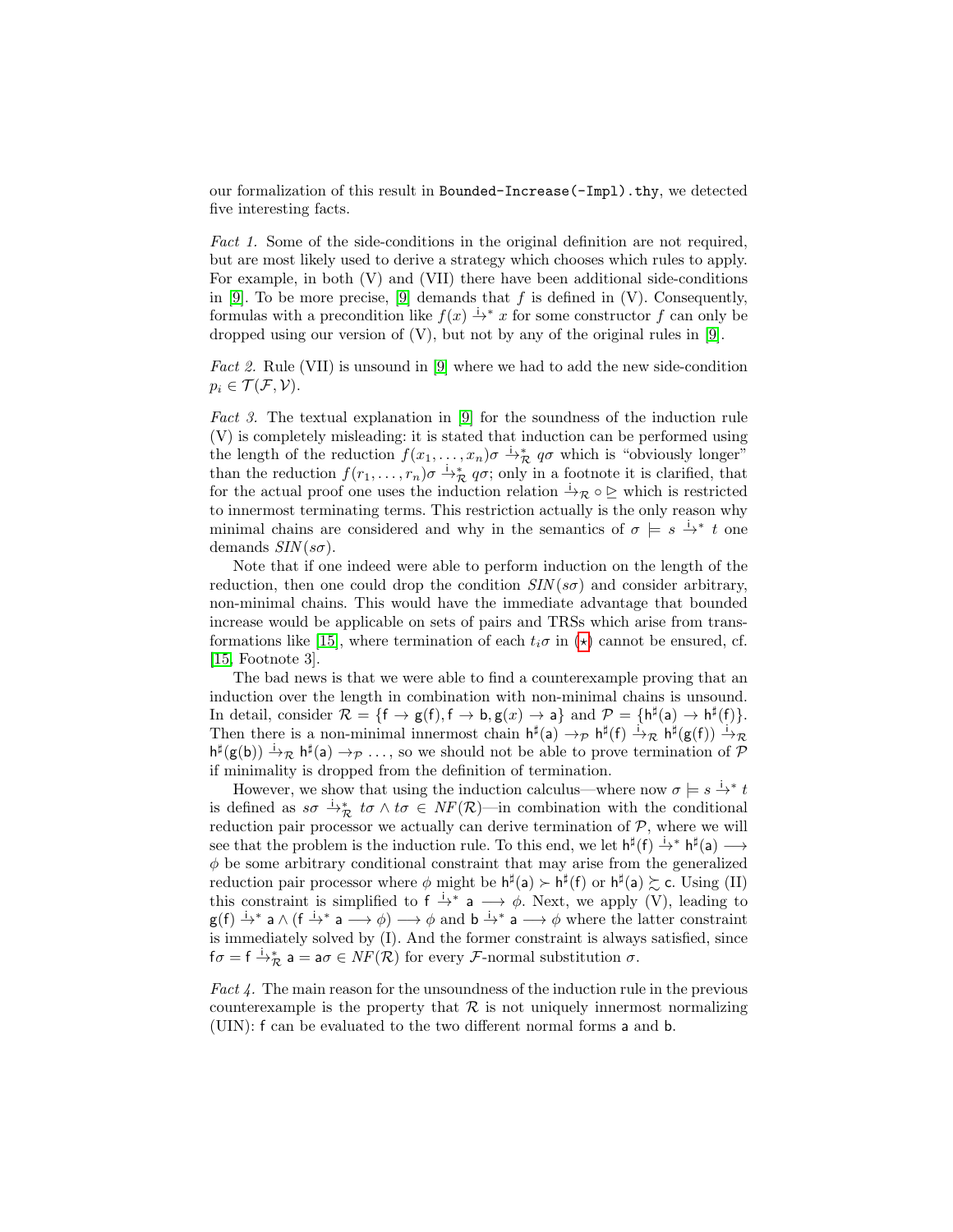our formalization of this result in Bounded-Increase(-Impl).thy, we detected five interesting facts.

Fact 1. Some of the side-conditions in the original definition are not required, but are most likely used to derive a strategy which chooses which rules to apply. For example, in both (V) and (VII) there have been additional side-conditions in [\[9\]](#page-15-2). To be more precise, [9] demands that  $f$  is defined in (V). Consequently, formulas with a precondition like  $f(x) \rightarrow^{i} x$  for some constructor f can only be dropped using our version of  $(V)$ , but not by any of the original rules in [\[9\]](#page-15-2).

Fact 2. Rule (VII) is unsound in [\[9\]](#page-15-2) where we had to add the new side-condition  $p_i \in \mathcal{T}(\mathcal{F}, \mathcal{V}).$ 

Fact 3. The textual explanation in [\[9\]](#page-15-2) for the soundness of the induction rule (V) is completely misleading: it is stated that induction can be performed using the length of the reduction  $f(x_1, \ldots, x_n)\sigma \longrightarrow_R^* q\sigma$  which is "obviously longer" than the reduction  $f(r_1, \ldots, r_n)\sigma \rightarrow_R^* q\sigma$ ; only in a footnote it is clarified, that for the actual proof one uses the induction relation  $\stackrel{i}{\rightarrow}\mathcal{R}\circ\mathcal{Q}$  which is restricted to innermost terminating terms. This restriction actually is the only reason why minimal chains are considered and why in the semantics of  $\sigma = s \stackrel{i}{\rightarrow} t$  one demands  $SIN(s\sigma)$ .

Note that if one indeed were able to perform induction on the length of the reduction, then one could drop the condition  $\text{SIN}(\text{ss})$  and consider arbitrary, non-minimal chains. This would have the immediate advantage that bounded increase would be applicable on sets of pairs and TRSs which arise from trans-formations like [\[15\]](#page-15-1), where termination of each  $t_i\sigma$  in  $(\star)$  cannot be ensured, cf. [\[15,](#page-15-1) Footnote 3].

The bad news is that we were able to find a counterexample proving that an induction over the length in combination with non-minimal chains is unsound. In detail, consider  $\mathcal{R} = \{f \to g(f), f \to b, g(x) \to a\}$  and  $\mathcal{P} = \{h^{\sharp}(a) \to h^{\sharp}(f)\}.$ Then there is a non-minimal innermost chain  $h^{\sharp}(a) \to_{\mathcal{P}} h^{\sharp}(f) \xrightarrow{i} \mathcal{R} h^{\sharp}(g(f)) \xrightarrow{i} \mathcal{R}$  $h^{\sharp}(g(b)) \xrightarrow{i} \mathcal{R} h^{\sharp}(a) \rightarrow \mathcal{P} \ldots$ , so we should not be able to prove termination of  $\mathcal{P}$ if minimality is dropped from the definition of termination.

However, we show that using the induction calculus—where now  $\sigma \models s \stackrel{i}{\rightarrow}^* t$ is defined as  $s\sigma \stackrel{\cdot}{\rightarrow}_{\mathcal{R}} t\sigma \wedge t\sigma \in NF(\mathcal{R})$ —in combination with the conditional reduction pair processor we actually can derive termination of  $P$ , where we will see that the problem is the induction rule. To this end, we let  $h^{\sharp}(f) \xrightarrow{i} h^{\sharp}(a) \longrightarrow$  $\phi$  be some arbitrary conditional constraint that may arise from the generalized reduction pair processor where  $\phi$  might be  $h^{\sharp}(a) \succ h^{\sharp}(f)$  or  $h^{\sharp}(a) \succsim c$ . Using (II) this constraint is simplified to  $f \stackrel{i}{\rightarrow}^* a \longrightarrow \phi$ . Next, we apply (V), leading to  $g(f) \to^* a \wedge (f \to^* a \to \phi) \to \phi$  and  $b \to^* a \to \phi$  where the latter constraint is immediately solved by (I). And the former constraint is always satisfied, since  $f\sigma=f\stackrel{\text{i}}{\rightarrow}\!\!\stackrel{\text{*}}{\mathcal{R}}$  a = a $\sigma\in\mathit{NF}(\mathcal{R})$  for every  $\mathcal{F}\text{-normal}$  substitution  $\sigma.$ 

Fact  $\ell$ . The main reason for the unsoundness of the induction rule in the previous counterexample is the property that  $R$  is not uniquely innermost normalizing (UIN): f can be evaluated to the two different normal forms a and b.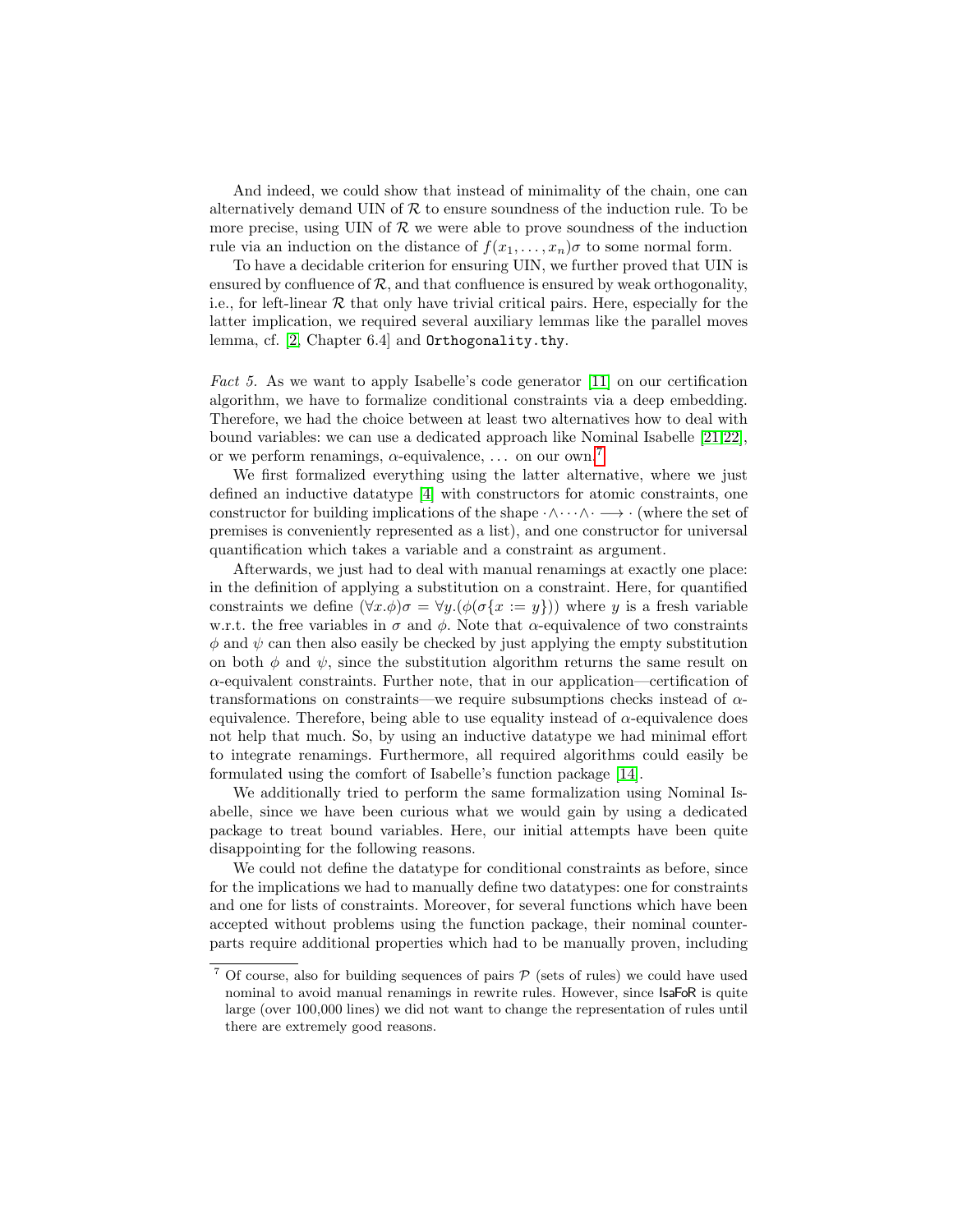And indeed, we could show that instead of minimality of the chain, one can alternatively demand UIN of  $R$  to ensure soundness of the induction rule. To be more precise, using UIN of  $R$  we were able to prove soundness of the induction rule via an induction on the distance of  $f(x_1, \ldots, x_n)\sigma$  to some normal form.

To have a decidable criterion for ensuring UIN, we further proved that UIN is ensured by confluence of  $\mathcal{R}$ , and that confluence is ensured by weak orthogonality, i.e., for left-linear  $R$  that only have trivial critical pairs. Here, especially for the latter implication, we required several auxiliary lemmas like the parallel moves lemma, cf. [\[2,](#page-15-9) Chapter 6.4] and Orthogonality.thy.

Fact 5. As we want to apply Isabelle's code generator [\[11\]](#page-15-15) on our certification algorithm, we have to formalize conditional constraints via a deep embedding. Therefore, we had the choice between at least two alternatives how to deal with bound variables: we can use a dedicated approach like Nominal Isabelle [\[21,](#page-15-16)[22\]](#page-15-17), or we perform renamings,  $\alpha$ -equivalence, ... on our own.<sup>[7](#page-11-0)</sup>

We first formalized everything using the latter alternative, where we just defined an inductive datatype [\[4\]](#page-15-18) with constructors for atomic constraints, one constructor for building implications of the shape  $\cdot \wedge \cdot \cdot \wedge \cdot \longrightarrow \cdot$  (where the set of premises is conveniently represented as a list), and one constructor for universal quantification which takes a variable and a constraint as argument.

Afterwards, we just had to deal with manual renamings at exactly one place: in the definition of applying a substitution on a constraint. Here, for quantified constraints we define  $(\forall x.\phi)\sigma = \forall y.(\phi(\sigma\{x:=y\}))$  where y is a fresh variable w.r.t. the free variables in  $\sigma$  and  $\phi$ . Note that  $\alpha$ -equivalence of two constraints  $\phi$  and  $\psi$  can then also easily be checked by just applying the empty substitution on both  $\phi$  and  $\psi$ , since the substitution algorithm returns the same result on  $\alpha$ -equivalent constraints. Further note, that in our application—certification of transformations on constraints—we require subsumptions checks instead of  $\alpha$ equivalence. Therefore, being able to use equality instead of  $\alpha$ -equivalence does not help that much. So, by using an inductive datatype we had minimal effort to integrate renamings. Furthermore, all required algorithms could easily be formulated using the comfort of Isabelle's function package [\[14\]](#page-15-19).

We additionally tried to perform the same formalization using Nominal Isabelle, since we have been curious what we would gain by using a dedicated package to treat bound variables. Here, our initial attempts have been quite disappointing for the following reasons.

We could not define the datatype for conditional constraints as before, since for the implications we had to manually define two datatypes: one for constraints and one for lists of constraints. Moreover, for several functions which have been accepted without problems using the function package, their nominal counterparts require additional properties which had to be manually proven, including

<span id="page-11-0"></span> $^7$  Of course, also for building sequences of pairs  $\mathcal P$  (sets of rules) we could have used nominal to avoid manual renamings in rewrite rules. However, since IsaFoR is quite large (over 100,000 lines) we did not want to change the representation of rules until there are extremely good reasons.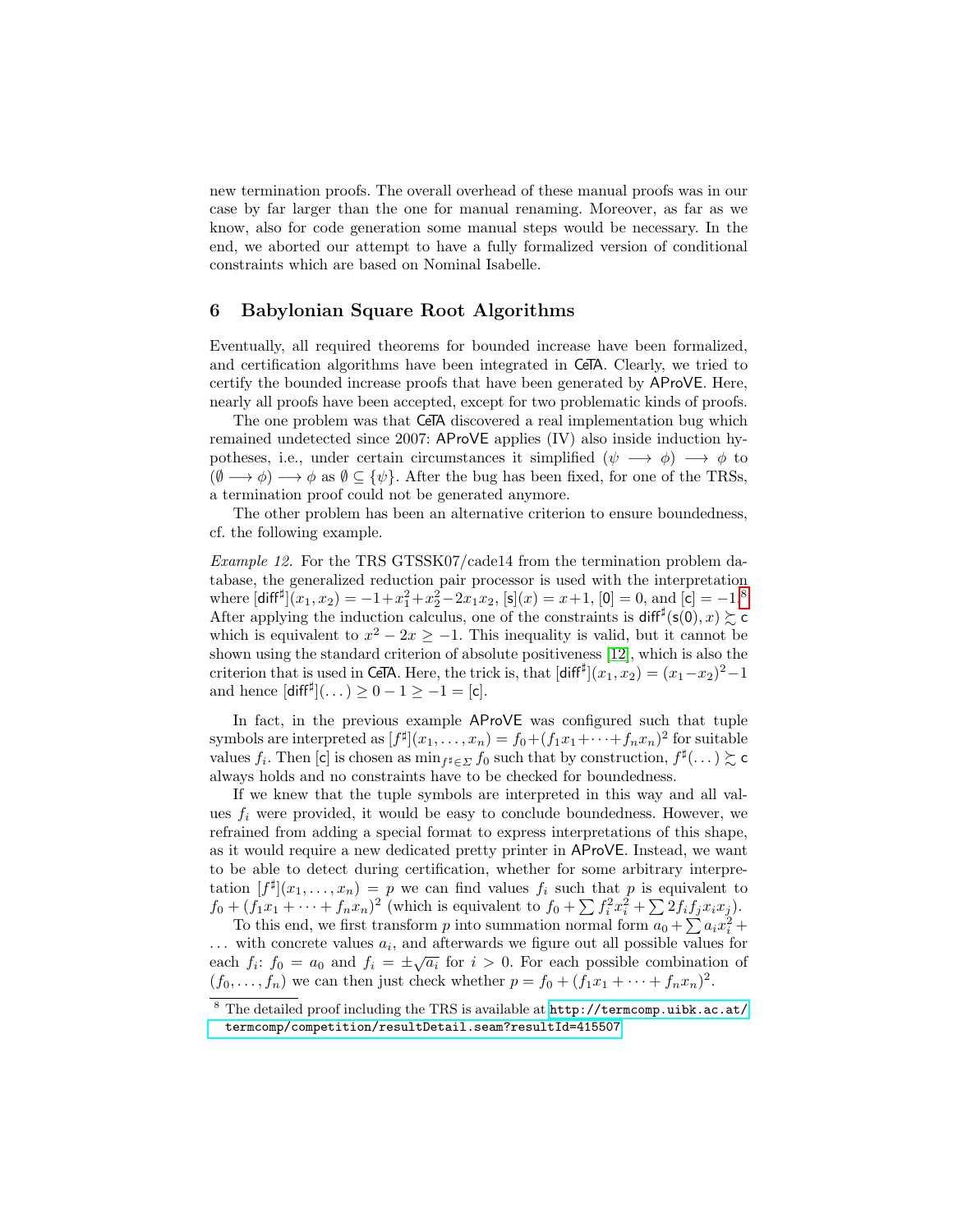new termination proofs. The overall overhead of these manual proofs was in our case by far larger than the one for manual renaming. Moreover, as far as we know, also for code generation some manual steps would be necessary. In the end, we aborted our attempt to have a fully formalized version of conditional constraints which are based on Nominal Isabelle.

#### <span id="page-12-0"></span>6 Babylonian Square Root Algorithms

Eventually, all required theorems for bounded increase have been formalized, and certification algorithms have been integrated in CeTA. Clearly, we tried to certify the bounded increase proofs that have been generated by AProVE. Here, nearly all proofs have been accepted, except for two problematic kinds of proofs.

The one problem was that CeTA discovered a real implementation bug which remained undetected since 2007: AProVE applies (IV) also inside induction hypotheses, i.e., under certain circumstances it simplified  $(\psi \rightarrow \phi) \rightarrow \phi$  to  $(\emptyset \longrightarrow \phi) \longrightarrow \phi$  as  $\emptyset \subseteq {\psi}$ . After the bug has been fixed, for one of the TRSs, a termination proof could not be generated anymore.

The other problem has been an alternative criterion to ensure boundedness, cf. the following example.

Example 12. For the TRS GTSSK07/cade14 from the termination problem database, the generalized reduction pair processor is used with the interpretation where  $[\text{diff}^{\sharp}](x_1, x_2) = -1 + x_1^2 + x_2^2 - 2x_1x_2$ ,  $[\text{s}](x) = x + 1$ ,  $[0] = 0$ , and  $[\text{c}] = -1$ .<sup>[8](#page-12-1)</sup> After applying the induction calculus, one of the constraints is  $\text{diff}^{\sharp}(\mathsf{s}(0),x) \gtrsim \mathsf{c}$ which is equivalent to  $x^2 - 2x \ge -1$ . This inequality is valid, but it cannot be shown using the standard criterion of absolute positiveness [\[12\]](#page-15-20), which is also the criterion that is used in CeTA. Here, the trick is, that  $\left[\text{diff}^{\sharp}\right](x_1, x_2) = (x_1 - x_2)^2 - 1$ and hence  $\left[ \text{diff}^{\sharp} \right] (\dots) \ge 0 - 1 \ge -1 = \left[ c \right].$ 

In fact, in the previous example AProVE was configured such that tuple symbols are interpreted as  $[f^{\sharp}](x_1,\ldots,x_n) = f_0 + (f_1x_1 + \cdots + f_nx_n)^2$  for suitable values  $f_i$ . Then [c] is chosen as  $\min_{f^{\sharp} \in \Sigma} f_0$  such that by construction,  $f^{\sharp}(\dots) \succsim c$ always holds and no constraints have to be checked for boundedness.

If we knew that the tuple symbols are interpreted in this way and all values  $f_i$  were provided, it would be easy to conclude boundedness. However, we refrained from adding a special format to express interpretations of this shape, as it would require a new dedicated pretty printer in AProVE. Instead, we want to be able to detect during certification, whether for some arbitrary interpretation  $[f^{\sharp}](x_1,\ldots,x_n) = p$  we can find values  $f_i$  such that p is equivalent to  $f_0 + (f_1x_1 + \cdots + f_nx_n)^2$  (which is equivalent to  $f_0 + \sum f_i^2x_i^2 + \sum 2f_if_jx_ix_j$ ).

To this end, we first transform p into summation normal form  $a_0 + \sum a_i x_i^2 +$  $\dots$  with concrete values  $a_i$ , and afterwards we figure out all possible values for  $\therefore$  with concrete values  $a_i$ , and afterwards we figure out all possible values for each  $f_i$ :  $f_0 = a_0$  and  $f_i = \pm \sqrt{a_i}$  for  $i > 0$ . For each possible combination of  $(f_0, \ldots, f_n)$  we can then just check whether  $p = f_0 + (f_1x_1 + \cdots + f_nx_n)^2$ .

<span id="page-12-1"></span><sup>8</sup> The detailed proof including the TRS is available at [http://termcomp.uibk.ac.at/](http://termcomp.uibk.ac.at/termcomp/competition/resultDetail.seam?resultId=415507) [termcomp/competition/resultDetail.seam?resultId=415507](http://termcomp.uibk.ac.at/termcomp/competition/resultDetail.seam?resultId=415507)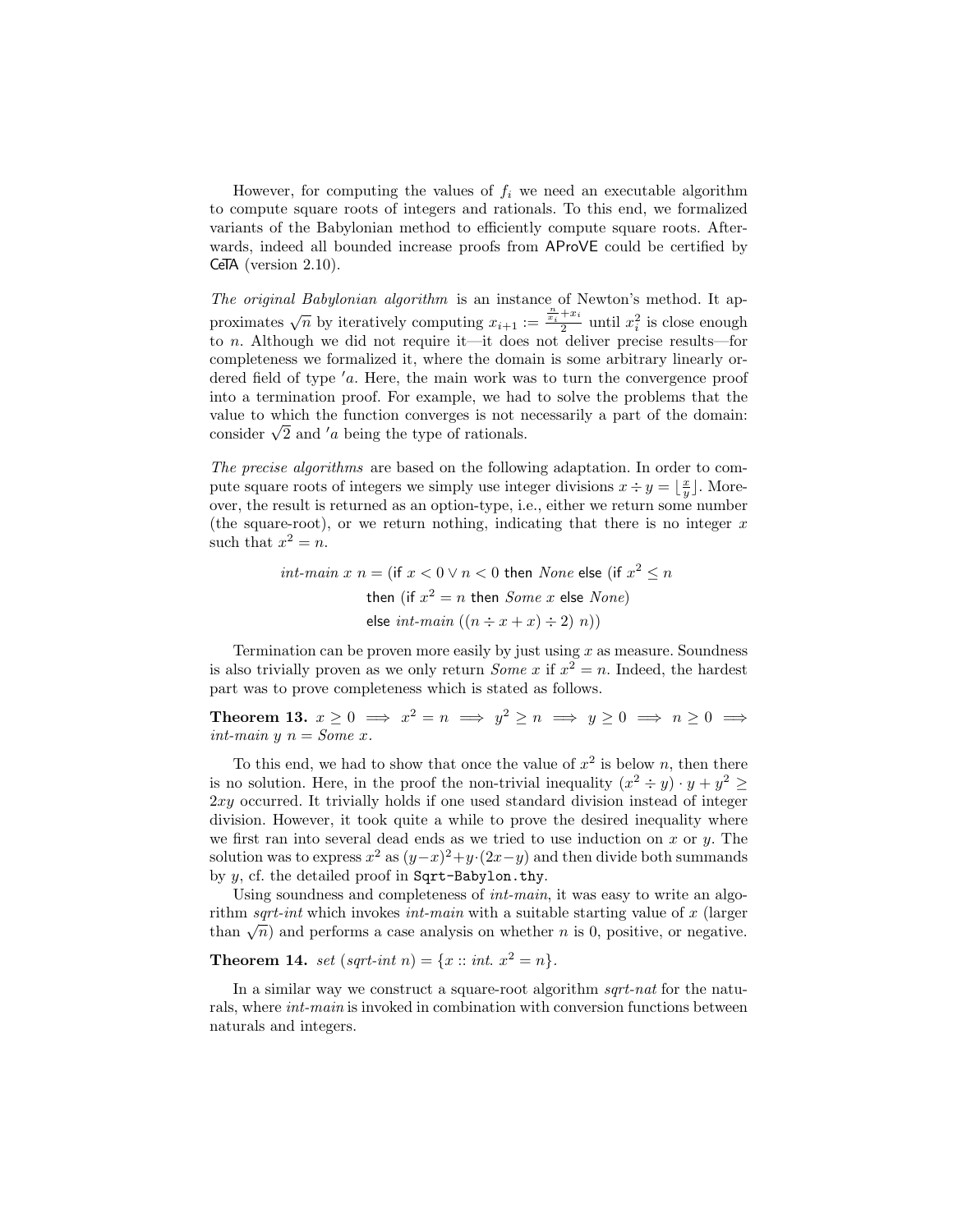However, for computing the values of  $f_i$  we need an executable algorithm to compute square roots of integers and rationals. To this end, we formalized variants of the Babylonian method to efficiently compute square roots. Afterwards, indeed all bounded increase proofs from AProVE could be certified by CeTA (version 2.10).

The original Babylonian algorithm is an instance of Newton's method. It approximates  $\sqrt{n}$  by iteratively computing  $x_{i+1} := \frac{x_i + x_i}{2}$  $\frac{1+x_i}{2}$  until  $x_i^2$  is close enough to n. Although we did not require it—it does not deliver precise results—for completeness we formalized it, where the domain is some arbitrary linearly ordered field of type  $a$ . Here, the main work was to turn the convergence proof into a termination proof. For example, we had to solve the problems that the value to which the function converges is not necessarily a part of the domain: value to which the function converges is not n<br>consider  $\sqrt{2}$  and '*a* being the type of rationals.

The precise algorithms are based on the following adaptation. In order to compute square roots of integers we simply use integer divisions  $x \div y = \lfloor \frac{x}{y} \rfloor$ . Moreover, the result is returned as an option-type, i.e., either we return some number (the square-root), or we return nothing, indicating that there is no integer  $x$ such that  $x^2 = n$ .

> $int\text{-}main x n = (\text{if } x < 0 \lor n < 0 \text{ then } None \text{ else } (\text{if } x^2 \leq n$ then (if  $x^2 = n$  then  $Some\ x$  else  $None)$ else int-main  $((n \div x + x) \div 2) n)$

Termination can be proven more easily by just using  $x$  as measure. Soundness is also trivially proven as we only return *Some* x if  $x^2 = n$ . Indeed, the hardest part was to prove completeness which is stated as follows.

Theorem 13.  $x \geq 0 \implies x^2 = n \implies y^2 \geq n \implies y \geq 0 \implies n \geq 0 \implies$ int-main  $y$   $n = Some x$ .

To this end, we had to show that once the value of  $x^2$  is below n, then there is no solution. Here, in the proof the non-trivial inequality  $(x^2 \div y) \cdot y + y^2 \geq$ 2xy occurred. It trivially holds if one used standard division instead of integer division. However, it took quite a while to prove the desired inequality where we first ran into several dead ends as we tried to use induction on  $x$  or  $y$ . The solution was to express  $x^2$  as  $(y-x)^2+y(2x-y)$  and then divide both summands by  $y$ , cf. the detailed proof in Sqrt-Babylon.thy.

Using soundness and completeness of *int-main*, it was easy to write an algorithm sqrt-int which invokes int-main with a suitable starting value of  $x$  (larger than  $\sqrt{n}$  and performs a case analysis on whether n is 0, positive, or negative.

**Theorem 14.** set (sqrt-int n) =  $\{x : int. x^2 = n\}.$ 

In a similar way we construct a square-root algorithm *sqrt-nat* for the naturals, where int-main is invoked in combination with conversion functions between naturals and integers.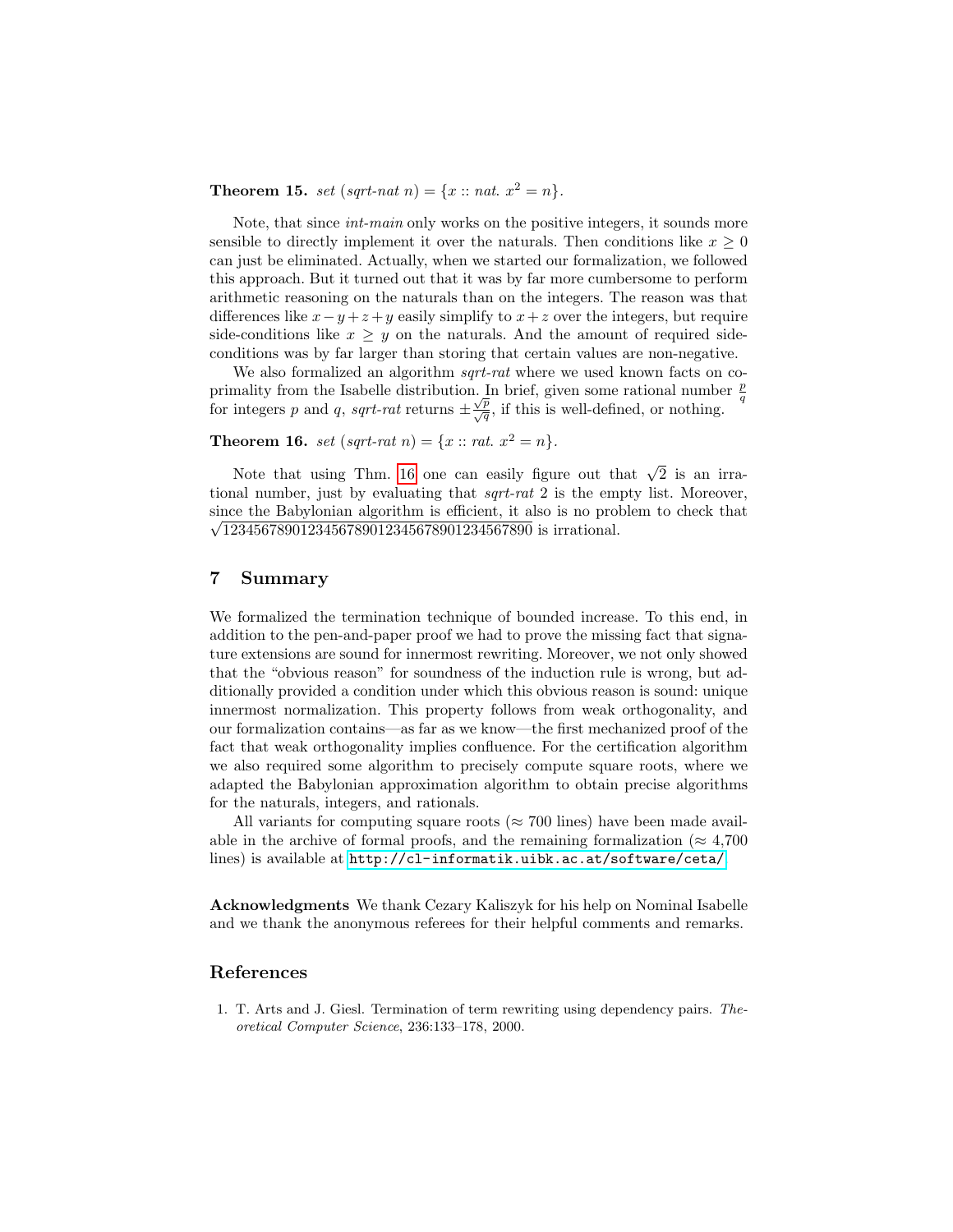**Theorem 15.** set (sqrt-nat n) =  $\{x : \text{nat. } x^2 = n\}.$ 

Note, that since int-main only works on the positive integers, it sounds more sensible to directly implement it over the naturals. Then conditions like  $x \geq 0$ can just be eliminated. Actually, when we started our formalization, we followed this approach. But it turned out that it was by far more cumbersome to perform arithmetic reasoning on the naturals than on the integers. The reason was that differences like  $x - y + z + y$  easily simplify to  $x + z$  over the integers, but require side-conditions like  $x \geq y$  on the naturals. And the amount of required sideconditions was by far larger than storing that certain values are non-negative.

We also formalized an algorithm *sqrt-rat* where we used known facts on coprimality from the Isabelle distribution. In brief, given some rational number  $\frac{p}{q}$ primality from the issue distribution. In order, given some rational number<br>for integers p and q, sqrt-rat returns  $\pm \frac{\sqrt{p}}{\sqrt{q}}$ , if this is well-defined, or nothing.

<span id="page-14-1"></span>**Theorem 16.** set  $(sqrt-rat\ n) = \{x :: rat. \ x^2 = n\}.$ 

Note that using Thm. [16](#page-14-1) one can easily figure out that  $\sqrt{2}$  is an irrational number, just by evaluating that sqrt-rat 2 is the empty list. Moreover, since the Babylonian algorithm is efficient, it also is no problem to check that  $\sqrt{1234567890123456789012345678901234567890}$  is irrational.

#### 7 Summary

We formalized the termination technique of bounded increase. To this end, in addition to the pen-and-paper proof we had to prove the missing fact that signature extensions are sound for innermost rewriting. Moreover, we not only showed that the "obvious reason" for soundness of the induction rule is wrong, but additionally provided a condition under which this obvious reason is sound: unique innermost normalization. This property follows from weak orthogonality, and our formalization contains—as far as we know—the first mechanized proof of the fact that weak orthogonality implies confluence. For the certification algorithm we also required some algorithm to precisely compute square roots, where we adapted the Babylonian approximation algorithm to obtain precise algorithms for the naturals, integers, and rationals.

All variants for computing square roots ( $\approx 700$  lines) have been made available in the archive of formal proofs, and the remaining formalization ( $\approx 4,700$ ) lines) is available at <http://cl-informatik.uibk.ac.at/software/ceta/>.

Acknowledgments We thank Cezary Kaliszyk for his help on Nominal Isabelle and we thank the anonymous referees for their helpful comments and remarks.

# References

<span id="page-14-0"></span>1. T. Arts and J. Giesl. Termination of term rewriting using dependency pairs. Theoretical Computer Science, 236:133–178, 2000.